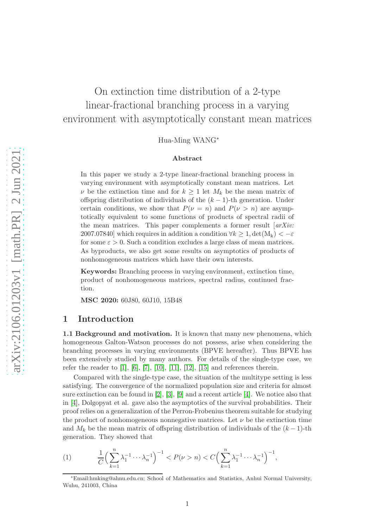# On extinction time distribution of a 2-type linear-fractional branching process in a varying environment with asymptotically constant mean matrices

Hua-Ming WANG<sup>∗</sup>

#### Abstract

In this paper we study a 2-type linear-fractional branching process in varying environment with asymptotically constant mean matrices. Let  $\nu$  be the extinction time and for  $k \geq 1$  let  $M_k$  be the mean matrix of offspring distribution of individuals of the  $(k-1)$ -th generation. Under certain conditions, we show that  $P(\nu = n)$  and  $P(\nu > n)$  are asymptotically equivalent to some functions of products of spectral radii of the mean matrices. This paper complements a former result  $\int a r X i v$ . 2007.07840] which requires in addition a condition  $\forall k \geq 1$ ,  $\det(M_k) < -\varepsilon$ for some  $\varepsilon > 0$ . Such a condition excludes a large class of mean matrices. As byproducts, we also get some results on asymptotics of products of nonhomogeneous matrices which have their own interests.

Keywords: Branching process in varying environment, extinction time, product of nonhomogeneous matrices, spectral radius, continued fraction.

MSC 2020: 60J80, 60J10, 15B48

### 1 Introduction

1.1 Background and motivation. It is known that many new phenomena, which homogeneous Galton-Watson processes do not possess, arise when considering the branching processes in varying environments (BPVE hereafter). Thus BPVE has been extensively studied by many authors. For details of the single-type case, we refer the reader to  $[1]$ ,  $[6]$ ,  $[7]$ ,  $[10]$ ,  $[11]$ ,  $[12]$ ,  $[15]$  and references therein.

Compared with the single-type case, the situation of the multitype setting is less satisfying. The convergence of the normalized population size and criteria for almost sure extinction can be found in  $[2]$ ,  $[3]$ ,  $[9]$  and a recent article  $[4]$ . We notice also that in [\[4\]](#page-21-10), Dolgopyat et al. gave also the asymptotics of the survival probabilities. Their proof relies on a generalization of the Perron-Frobenius theorem suitable for studying the product of nonhomogeneous nonnegative matrices. Let  $\nu$  be the extinction time and  $M_k$  be the mean matrix of offspring distribution of individuals of the  $(k-1)$ -th generation. They showed that

<span id="page-0-0"></span>(1) 
$$
\frac{1}{C} \Big( \sum_{k=1}^n \lambda_1^{-1} \cdots \lambda_n^{-1} \Big)^{-1} < P(\nu > n) < C \Big( \sum_{k=1}^n \lambda_1^{-1} \cdots \lambda_n^{-1} \Big)^{-1},
$$

<sup>∗</sup>Email:hmking@ahnu.edu.cn; School of Mathematics and Statistics, Anhui Normal University, Wuhu, 241003, China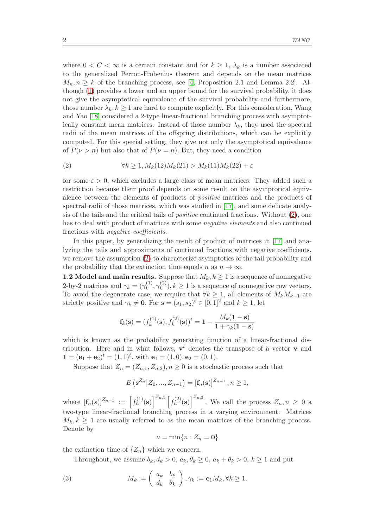where  $0 < C < \infty$  is a certain constant and for  $k \geq 1$ ,  $\lambda_k$  is a number associated to the generalized Perron-Frobenius theorem and depends on the mean matrices  $M_n, n \geq k$  of the branching process, see [\[4,](#page-21-10) Proposition 2.1 and Lemma 2.2]. Although [\(1\)](#page-0-0) provides a lower and an upper bound for the survival probability, it does not give the asymptotical equivalence of the survival probability and furthermore, those number  $\lambda_k, k \geq 1$  are hard to compute explicitly. For this consideration, Wang and Yao [\[18\]](#page-21-11) considered a 2-type linear-fractional branching process with asymptotically constant mean matrices. Instead of those number  $\lambda_k$ , they used the spectral radii of the mean matrices of the offspring distributions, which can be explicitly computed. For this special setting, they give not only the asymptotical equivalence of  $P(\nu > n)$  but also that of  $P(\nu = n)$ . But, they need a condition

<span id="page-1-0"></span>(2) 
$$
\forall k \geq 1, M_k(12)M_k(21) > M_k(11)M_k(22) + \varepsilon
$$

for some  $\varepsilon > 0$ , which excludes a large class of mean matrices. They added such a restriction because their proof depends on some result on the asymptotical equivalence between the elements of products of positive matrices and the products of spectral radii of those matrices, which was studied in [\[17\]](#page-21-12), and some delicate analysis of the tails and the critical tails of positive continued fractions. Without [\(2\)](#page-1-0), one has to deal with product of matrices with some negative elements and also continued fractions with negative coefficients.

In this paper, by generalizing the result of product of matrices in [\[17\]](#page-21-12) and analyzing the tails and approximants of continued fractions with negative coefficients, we remove the assumption [\(2\)](#page-1-0) to characterize asymptotics of the tail probability and the probability that the extinction time equals n as  $n \to \infty$ .

1.2 Model and main results. Suppose that  $M_k, k \geq 1$  is a sequence of nonnegative 2-by-2 matrices and  $\gamma_k = (\gamma_k^{(1)})$  $\mathcal{C}^{(1)}_k, \gamma^{(2)}_k$  $(k)$ ,  $k \geq 1$  is a sequence of nonnegative row vectors. To avoid the degenerate case, we require that  $\forall k \geq 1$ , all elements of  $M_k M_{k+1}$  are strictly positive and  $\gamma_k \neq \mathbf{0}$ . For  $\mathbf{s} = (s_1, s_2)^t \in [0, 1]^2$  and  $k \geq 1$ , let

$$
\mathbf{f}_k(\mathbf{s}) = (f_k^{(1)}(\mathbf{s}), f_k^{(2)}(\mathbf{s}))^t = \mathbf{1} - \frac{M_k(\mathbf{1} - \mathbf{s})}{1 + \gamma_k(\mathbf{1} - \mathbf{s})}
$$

which is known as the probability generating function of a linear-fractional distribution. Here and in what follows,  $\mathbf{v}^t$  denotes the transpose of a vector **v** and  $\mathbf{1} = (\mathbf{e}_1 + \mathbf{e}_2)^t = (1, 1)^t$ , with  $\mathbf{e}_1 = (1, 0), \mathbf{e}_2 = (0, 1)$ .

Suppose that  $Z_n = (Z_{n,1}, Z_{n,2}), n \geq 0$  is a stochastic process such that

$$
E\left(\mathbf{s}^{Z_n} \middle| Z_0, ..., Z_{n-1}\right) = \left[\mathbf{f}_n(\mathbf{s})\right]^{Z_{n-1}}, n \ge 1,
$$

where  $[\mathbf{f}_n(s)]^{Z_{n-1}} := \left[ f_n^{(1)}(\mathbf{s}) \right]^{Z_{n,1}} \left[ f_n^{(2)}(\mathbf{s}) \right]^{Z_{n,2}}$ . We call the process  $Z_n, n \geq 0$  a two-type linear-fractional branching process in a varying environment. Matrices  $M_k, k \geq 1$  are usually referred to as the mean matrices of the branching process. Denote by

$$
\nu=\min\{n:Z_n=\mathbf{0}\}
$$

the extinction time of  $\{Z_n\}$  which we concern.

Throughout, we assume  $b_k, d_k > 0$ ,  $a_k, \theta_k \geq 0$ ,  $a_k + \theta_k > 0$ ,  $k \geq 1$  and put

<span id="page-1-1"></span>(3) 
$$
M_k := \begin{pmatrix} a_k & b_k \\ d_k & \theta_k \end{pmatrix}, \gamma_k := \mathbf{e}_1 M_k, \forall k \ge 1.
$$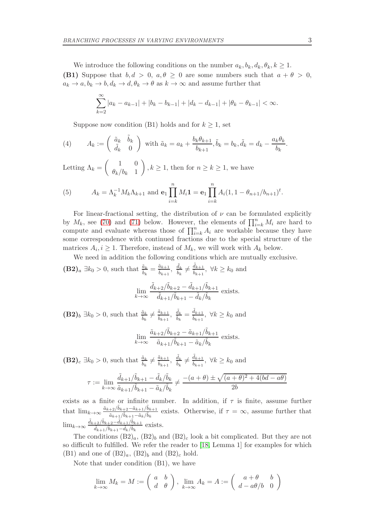We introduce the following conditions on the number  $a_k, b_k, d_k, \theta_k, k \geq 1$ . (B1) Suppose that  $b, d > 0$ ,  $a, \theta \ge 0$  are some numbers such that  $a + \theta > 0$ ,  $a_k \to a, b_k \to b, d_k \to d, \theta_k \to \theta$  as  $k \to \infty$  and assume further that

$$
\sum_{k=2}^{\infty} |a_k - a_{k-1}| + |b_k - b_{k-1}| + |d_k - d_{k-1}| + |\theta_k - \theta_{k-1}| < \infty.
$$

Suppose now condition (B1) holds and for  $k \geq 1$ , set

<span id="page-2-0"></span>(4) 
$$
A_k := \begin{pmatrix} \tilde{a}_k & \tilde{b}_k \\ \tilde{d}_k & 0 \end{pmatrix} \text{ with } \tilde{a}_k = a_k + \frac{b_k \theta_{k+1}}{b_{k+1}}, \tilde{b}_k = b_k, \tilde{d}_k = d_k - \frac{a_k \theta_k}{b_k}.
$$

Letting  $\Lambda_k = \begin{pmatrix} 1 & 0 \\ 0 & \lambda_k \end{pmatrix}$  $\theta_k/b_k$  1  $\Big), k \geq 1$ , then for  $n \geq k \geq 1$ , we have

<span id="page-2-1"></span>(5) 
$$
A_k = \Lambda_k^{-1} M_k \Lambda_{k+1} \text{ and } \mathbf{e}_1 \prod_{i=k}^n M_i \mathbf{1} = \mathbf{e}_1 \prod_{i=k}^n A_i (1, 1 - \theta_{n+1}/b_{n+1})^t.
$$

For linear-fractional setting, the distribution of  $\nu$  can be formulated explicitly by  $M_k$ , see [\(70\)](#page-17-0) and [\(71\)](#page-17-1) below. However, the elements of  $\prod_{i=k}^n M_i$  are hard to compute and evaluate whereas those of  $\prod_{i=k}^{n} A_i$  are workable because they have some correspondence with continued fractions due to the special structure of the matrices  $A_i, i \geq 1$ . Therefore, instead of  $M_k$ , we will work with  $A_k$  below.

We need in addition the following conditions which are mutually exclusive.

 $(\mathbf{B2})_a \exists k_0 > 0$ , such that  $\frac{\tilde{a}_k}{\tilde{b}_k} = \frac{\tilde{a}_{k+1}}{\tilde{b}_{k+1}}$  $\frac{\tilde{a}_{k+1}}{\tilde{b}_{k+1}}, \ \tilde{d}_k \neq \frac{\tilde{d}_{k+1}}{\tilde{b}_{k+1}}, \ \forall k \geq k_0 \text{ and }$ 

$$
\lim_{k \to \infty} \frac{\tilde{d}_{k+2}/\tilde{b}_{k+2} - \tilde{d}_{k+1}/\tilde{b}_{k+1}}{\tilde{d}_{k+1}/\tilde{b}_{k+1} - \tilde{d}_k/\tilde{b}_k}
$$
 exists.

 $(B2)_b \exists k_0 > 0$ , such that  $\frac{\tilde{a}_k}{\tilde{b}_k} \neq \frac{\tilde{a}_{k+1}}{\tilde{b}_{k+1}}$  $\frac{\tilde{a}_{k+1}}{\tilde{b}_{k+1}}, \ \tilde{d}_k = \frac{\tilde{d}_{k+1}}{\tilde{b}_{k+1}}, \ \forall k \geq k_0 \text{ and }$ 

$$
\lim_{k \to \infty} \frac{\tilde{a}_{k+2}/\tilde{b}_{k+2} - \tilde{a}_{k+1}/\tilde{b}_{k+1}}{\tilde{a}_{k+1}/\tilde{b}_{k+1} - \tilde{a}_k/\tilde{b}_k}
$$
 exists.

 $(\mathbf{B2})_c \exists k_0 > 0$ , such that  $\frac{\tilde{a}_k}{\tilde{b}_k} \neq \frac{\tilde{a}_{k+1}}{\tilde{b}_{k+1}}$  $\frac{\tilde{a}_{k+1}}{\tilde{b}_{k+1}}, \ \tilde{d}_k \neq \frac{\tilde{d}_{k+1}}{\tilde{b}_{k+1}}, \ \forall k \geq k_0 \text{ and }$ 

$$
\tau := \lim_{k \to \infty} \frac{\tilde{d}_{k+1}/\tilde{b}_{k+1} - \tilde{d}_k/\tilde{b}_k}{\tilde{a}_{k+1}/\tilde{b}_{k+1} - \tilde{a}_k/\tilde{b}_k} \neq \frac{-(a+\theta) \pm \sqrt{(a+\theta)^2 + 4(bd - a\theta)}}{2b}
$$

exists as a finite or infinite number. In addition, if  $\tau$  is finite, assume further that  $\lim_{k\to\infty} \frac{\tilde{a}_{k+2}/\tilde{b}_{k+2}-\tilde{a}_{k+1}/\tilde{b}_{k+1}}{\tilde{a}_{k+1}/\tilde{b}_{k+1}-\tilde{a}_{k}/\tilde{b}_{k+1}}$  $\frac{A+2}{\tilde{a}_{k+1}/\tilde{b}_{k+1}-\tilde{a}_k/\tilde{b}_k}$  exists. Otherwise, if  $\tau = \infty$ , assume further that  $\lim_{k\to\infty}\frac{\tilde{d}_{k+2}/\tilde{b}_{k+2}-\tilde{d}_{k+1}/\tilde{b}_{k+1}}{\tilde{d}_{k+1}/\tilde{b}_{k+1}-\tilde{d}_{k}/\tilde{b}_{k+1}}$  $\frac{\tilde{d}_{k+1}/\tilde{b}_{k+2}-a_{k+1}/\tilde{b}_{k+1}}{\tilde{d}_{k+1}/\tilde{b}_{k+1}-\tilde{d}_k/\tilde{b}_k}$  exists.

The conditions  $(B2)_a$ ,  $(B2)_b$  and  $(B2)_c$  look a bit complicated. But they are not so difficult to fulfilled. We refer the reader to [\[18,](#page-21-11) Lemma 1] for examples for which (B1) and one of  $(B2)_a$ ,  $(B2)_b$  and  $(B2)_c$  hold.

Note that under condition (B1), we have

$$
\lim_{k \to \infty} M_k = M := \begin{pmatrix} a & b \\ d & \theta \end{pmatrix}, \lim_{k \to \infty} A_k = A := \begin{pmatrix} a + \theta & b \\ d - a\theta/b & 0 \end{pmatrix}
$$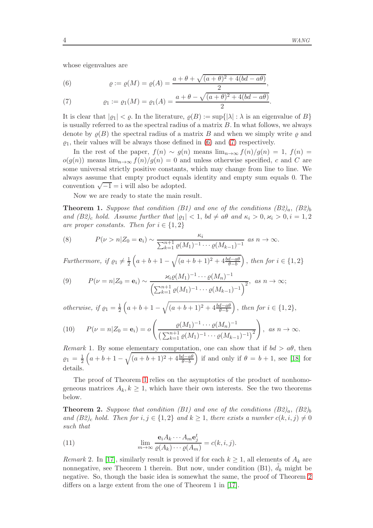whose eigenvalues are

<span id="page-3-0"></span>(6) 
$$
\varrho := \varrho(M) = \varrho(A) = \frac{a + \theta + \sqrt{(a + \theta)^2 + 4(bd - a\theta)}}{2},
$$

<span id="page-3-1"></span>(7) 
$$
\varrho_1 := \varrho_1(M) = \varrho_1(A) = \frac{a + \theta - \sqrt{(a + \theta)^2 + 4(bd - a\theta)}}{2}.
$$

It is clear that  $|q_1| < \varrho$ . In the literature,  $\varrho(B) := \sup\{|\lambda| : \lambda \text{ is an eigenvalue of } B\}$ is usually referred to as the spectral radius of a matrix  $B$ . In what follows, we always denote by  $\rho(B)$  the spectral radius of a matrix B and when we simply write  $\rho$  and  $\varrho_1$ , their values will be always those defined in [\(6\)](#page-3-0) and [\(7\)](#page-3-1) respectively.

In the rest of the paper,  $f(n) \sim g(n)$  means  $\lim_{n\to\infty} f(n)/g(n) = 1$ ,  $f(n) =$  $o(g(n))$  means  $\lim_{n\to\infty} f(n)/g(n) = 0$  and unless otherwise specified, c and C are some universal strictly positive constants, which may change from line to line. We always assume that empty product equals identity and empty sum equals 0. The convention  $\sqrt{-1} = i$  will also be adopted.

Now we are ready to state the main result.

<span id="page-3-2"></span>**Theorem 1.** Suppose that condition (B1) and one of the conditions  $(B2)_a$ ,  $(B2)_b$ and  $(B2)_c$  hold. Assume further that  $|g_1| < 1$ ,  $bd \neq a\theta$  and  $\kappa_i > 0$ ,  $\varkappa_i > 0$ ,  $i = 1, 2$ are proper constants. Then for  $i \in \{1, 2\}$ 

<span id="page-3-7"></span>(8) 
$$
P(\nu > n | Z_0 = \mathbf{e}_i) \sim \frac{\kappa_i}{\sum_{k=1}^{n+1} \varrho(M_1)^{-1} \cdots \varrho(M_{k-1})^{-1}} \text{ as } n \to \infty.
$$

Furthermore, if  $\rho_1 \neq \frac{1}{2} \left( a + b + 1 - \sqrt{(a+b+1)^2 + 4 \frac{bd - a\theta}{\theta - b}} \right)$ , then for  $i \in \{1,2\}$ 

<span id="page-3-5"></span>(9) 
$$
P(\nu = n | Z_0 = \mathbf{e}_i) \sim \frac{\varkappa_i \varrho(M_1)^{-1} \cdots \varrho(M_n)^{-1}}{\left(\sum_{k=1}^{n+1} \varrho(M_1)^{-1} \cdots \varrho(M_{k-1})^{-1}\right)^2}, \text{ as } n \to \infty;
$$

otherwise, if  $\rho_1 = \frac{1}{2}$  $\frac{1}{2}\left(a+b+1-\sqrt{(a+b+1)^2+4\frac{bd-a\theta}{\theta-b}}\right)$ , then for  $i \in \{1,2\},$ 

<span id="page-3-6"></span>(10) 
$$
P(\nu = n | Z_0 = \mathbf{e}_i) = o\left(\frac{\varrho(M_1)^{-1} \cdots \varrho(M_n)^{-1}}{\left(\sum_{k=1}^{n+1} \varrho(M_1)^{-1} \cdots \varrho(M_{k-1})^{-1}\right)^2}\right), \text{ as } n \to \infty.
$$

Remark 1. By some elementary computation, one can show that if  $bd > a\theta$ , then  $\rho_1 = \frac{1}{2} \left( a + b + 1 - \sqrt{(a+b+1)^2 + 4 \frac{bd - a\theta}{\theta - b}} \right)$  if and only if  $\theta = b + 1$ , see [\[18\]](#page-21-11) for details.

The proof of Theorem [1](#page-3-2) relies on the asymptotics of the product of nonhomogeneous matrices  $A_k, k \geq 1$ , which have their own interests. See the two theorems below.

<span id="page-3-3"></span>**Theorem 2.** Suppose that condition (B1) and one of the conditions  $(B2)_a$ ,  $(B2)_b$ and  $(B2)_c$  hold. Then for  $i, j \in \{1,2\}$  and  $k \geq 1$ , there exists a number  $c(k, i, j) \neq 0$ such that

<span id="page-3-4"></span>(11) 
$$
\lim_{m \to \infty} \frac{\mathbf{e}_i A_k \cdots A_m \mathbf{e}_j^t}{\varrho(A_k) \cdots \varrho(A_m)} = c(k, i, j).
$$

*Remark* 2. In [\[17\]](#page-21-12), similarly result is proved if for each  $k \geq 1$ , all elements of  $A_k$  are nonnegative, see Theorem 1 therein. But now, under condition  $(B1)$ ,  $d_k$  might be negative. So, though the basic idea is somewhat the same, the proof of Theorem [2](#page-3-3) differs on a large extent from the one of Theorem 1 in [\[17\]](#page-21-12).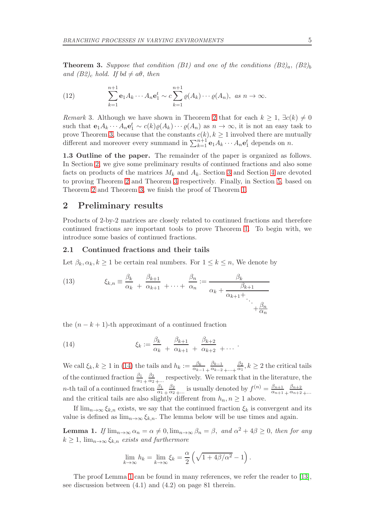<span id="page-4-0"></span>**Theorem 3.** Suppose that condition (B1) and one of the conditions  $(B2)_a$ ,  $(B2)_b$ and (B2)<sub>c</sub> hold. If bd  $\neq a\theta$ , then

<span id="page-4-4"></span>(12) 
$$
\sum_{k=1}^{n+1} \mathbf{e}_1 A_k \cdots A_n \mathbf{e}_1^t \sim c \sum_{k=1}^{n+1} \varrho(A_k) \cdots \varrho(A_n), \text{ as } n \to \infty.
$$

Remark 3. Although we have shown in Theorem [2](#page-3-3) that for each  $k \geq 1$ ,  $\exists c(k) \neq 0$ such that  $e_1A_k \cdots A_ne_1^t \sim c(k)\varrho(A_k) \cdots \varrho(A_n)$  as  $n \to \infty$ , it is not an easy task to prove Theorem [3,](#page-4-0) because that the constants  $c(k)$ ,  $k \geq 1$  involved there are mutually different and moreover every summand in  $\sum_{k=1}^{n+1} \mathbf{e}_1 A_k \cdots A_n \mathbf{e}_1^t$  depends on n.

1.3 Outline of the paper. The remainder of the paper is organized as follows. In Section [2,](#page-4-1) we give some preliminary results of continued fractions and also some facts on products of the matrices  $M_k$  and  $A_k$ . Section [3](#page-5-0) and Section [4](#page-11-0) are devoted to proving Theorem [2](#page-3-3) and Theorem [3](#page-4-0) respectively. Finally, in Section [5,](#page-17-2) based on Theorem [2](#page-3-3) and Theorem [3,](#page-4-0) we finish the proof of Theorem [1.](#page-3-2)

### <span id="page-4-1"></span>2 Preliminary results

Products of 2-by-2 matrices are closely related to continued fractions and therefore continued fractions are important tools to prove Theorem [1.](#page-3-2) To begin with, we introduce some basics of continued fractions.

#### 2.1 Continued fractions and their tails

Let  $\beta_k, \alpha_k, k \geq 1$  be certain real numbers. For  $1 \leq k \leq n$ , We denote by

<span id="page-4-5"></span>(13) 
$$
\xi_{k,n} \equiv \frac{\beta_k}{\alpha_k} + \frac{\beta_{k+1}}{\alpha_{k+1}} + \dots + \frac{\beta_n}{\alpha_n} := \frac{\beta_k}{\alpha_k + \frac{\beta_{k+1}}{\alpha_{k+1} + \dots + \frac{\beta_n}{\alpha_n}}}
$$

the  $(n - k + 1)$ -th approximant of a continued fraction

<span id="page-4-2"></span>(14) 
$$
\xi_k := \frac{\beta_k}{\alpha_k} + \frac{\beta_{k+1}}{\alpha_{k+1}} + \frac{\beta_{k+2}}{\alpha_{k+2}} + \cdots
$$

We call  $\xi_k, k \ge 1$  in [\(14\)](#page-4-2) the tails and  $h_k := \frac{\beta_k}{\alpha_{k-1}}$  $\frac{\alpha_{k-1}}{n}$  +  $\beta_{k-1}$  $\overline{\alpha_{k-2}} + \cdots +$  $\beta_2$  $\frac{\rho_2}{\alpha_1}$ ,  $k \geq 2$  the critical tails of the continued fraction  $\frac{\beta_1}{\alpha_1}$  $\beta_2$  $\frac{\rho_2}{\alpha_2}$ <sub>+</sub>... respectively. We remark that in the literature, the *n*-th tail of a continued fraction  $\frac{\beta_1}{\alpha_1}$  $\beta_2$  $\frac{\beta_2}{\alpha_2}$ <sub>+...</sub> is usually denoted by  $f^{(n)} = \frac{\beta_{n+1}}{\alpha_{n+1}}$  $\alpha_{n+1}$  +  $\beta_{n+2}$  $\alpha_{n+2}$  +... and the critical tails are also slightly different from  $h_n$ ,  $n \geq 1$  above.

If  $\lim_{n\to\infty} \xi_{k,n}$  exists, we say that the continued fraction  $\xi_k$  is convergent and its value is defined as  $\lim_{n\to\infty} \xi_{k,n}$ . The lemma below will be use times and again.

<span id="page-4-3"></span>**Lemma 1.** If  $\lim_{n\to\infty} \alpha_n = \alpha \neq 0$ ,  $\lim_{n\to\infty} \beta_n = \beta$ , and  $\alpha^2 + 4\beta \geq 0$ , then for any  $k \geq 1$ ,  $\lim_{n\to\infty} \xi_{k,n}$  exists and furthermore

$$
\lim_{k \to \infty} h_k = \lim_{k \to \infty} \xi_k = \frac{\alpha}{2} \left( \sqrt{1 + 4\beta/\alpha^2} - 1 \right).
$$

The proof Lemma [1](#page-4-3) can be found in many references, we refer the reader to [\[13\]](#page-21-13), see discussion between (4.1) and (4.2) on page 81 therein.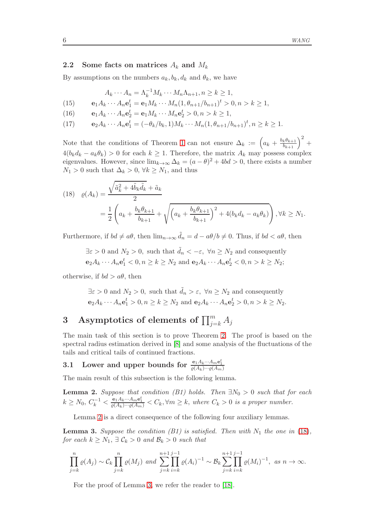#### 2.2 Some facts on matrices  $A_k$  and  $M_k$

By assumptions on the numbers  $a_k, b_k, d_k$  and  $\theta_k$ , we have

$$
A_k \cdots A_n = \Lambda_k^{-1} M_k \cdots M_n \Lambda_{n+1}, n \ge k \ge 1,
$$

<span id="page-5-4"></span>(15) 
$$
\mathbf{e}_1 A_k \cdots A_n \mathbf{e}_1^t = \mathbf{e}_1 M_k \cdots M_n (1, \theta_{n+1}/b_{n+1})^t > 0, n > k \ge 1,
$$

- <span id="page-5-5"></span>(16)  $\mathbf{e}_1 A_k \cdots A_n \mathbf{e}_2^t = \mathbf{e}_1 M_k \cdots M_n \mathbf{e}_2^t > 0, n > k \ge 1,$
- <span id="page-5-6"></span>(17)  $\mathbf{e}_2 A_k \cdots A_n \mathbf{e}_1^t = (-\theta_k/b_k, 1) M_k \cdots M_n (1, \theta_{n+1}/b_{n+1})^t, n \geq k \geq 1.$

Note that the conditions of Theorem [1](#page-3-2) can not ensure  $\Delta_k := \left(a_k + \frac{b_k \theta_{k+1}}{b_{k+1}}\right)^2 +$  $4(b_kd_k - a_k\theta_k) > 0$  for each  $k \geq 1$ . Therefore, the matrix  $A_k$  may possess complex eigenvalues. However, since  $\lim_{k\to\infty} \Delta_k = (a - \theta)^2 + 4bd > 0$ , there exists a number  $N_1 > 0$  such that  $\Delta_k > 0$ ,  $\forall k \ge N_1$ , and thus

<span id="page-5-2"></span>
$$
(18) \quad \varrho(A_k) = \frac{\sqrt{\tilde{a}_k^2 + 4\tilde{b}_k \tilde{d}_k} + \tilde{a}_k}{2}
$$
  
=  $\frac{1}{2} \left( a_k + \frac{b_k \theta_{k+1}}{b_{k+1}} + \sqrt{\left( a_k + \frac{b_k \theta_{k+1}}{b_{k+1}} \right)^2 + 4(b_k d_k - a_k \theta_k)} \right), \forall k \ge N_1.$ 

Furthermore, if  $bd \neq a\theta$ , then  $\lim_{n\to\infty} \tilde{d}_n = d - a\theta/b \neq 0$ . Thus, if  $bd < a\theta$ , then

 $\exists \varepsilon > 0$  and  $N_2 > 0$ , such that  $\tilde{d}_n < -\varepsilon$ ,  $\forall n \ge N_2$  and consequently  $e_2A_k \cdots A_n e_1^t < 0, n \ge k \ge N_2$  and  $e_2A_k \cdots A_n e_2^t < 0, n > k \ge N_2$ ;

otherwise, if  $bd > a\theta$ , then

 $\exists \varepsilon > 0$  and  $N_2 > 0$ , such that  $\tilde{d}_n > \varepsilon$ ,  $\forall n \ge N_2$  and consequently  $e_2A_k \cdots A_n e_1^t > 0, n \ge k \ge N_2 \text{ and } e_2A_k \cdots A_n e_2^t > 0, n > k \ge N_2.$ 

# <span id="page-5-0"></span> $3$  Asymptotics of elements of  $\prod_{j=k}^m A_j$

The main task of this section is to prove Theorem [2.](#page-3-3) The proof is based on the spectral radius estimation derived in [\[8\]](#page-21-14) and some analysis of the fluctuations of the tails and critical tails of continued fractions.

# 3.1 Lower and upper bounds for  $\frac{{{\bf e}}_1A_k\cdot\cdot\cdot A_m{\bf e}_1^t}{\varrho(A_k)\cdot\cdot\cdot\varrho(A_m)}$

The main result of this subsection is the following lemma.

<span id="page-5-1"></span>**Lemma 2.** Suppose that condition (B1) holds. Then  $\exists N_0 > 0$  such that for each  $k \geq N_0, C_k^{-1} < \frac{e_1 A_k \cdots A_m e_1^t}{\varrho(A_k) \cdots \varrho(A_m)} < C_k, \forall m \geq k, \text{ where } C_k > 0 \text{ is a proper number.}$ 

Lemma [2](#page-5-1) is a direct consequence of the following four auxiliary lemmas.

<span id="page-5-3"></span>**Lemma 3.** Suppose the condition (B1) is satisfied. Then with  $N_1$  the one in [\(18\)](#page-5-2), for each  $k \geq N_1$ ,  $\exists \mathcal{C}_k > 0$  and  $\mathcal{B}_k > 0$  such that

$$
\prod_{j=k}^{n} \varrho(A_j) \sim C_k \prod_{j=k}^{n} \varrho(M_j) \text{ and } \sum_{j=k}^{n+1} \prod_{i=k}^{j-1} \varrho(A_i)^{-1} \sim \mathcal{B}_k \sum_{j=k}^{n+1} \prod_{i=k}^{j-1} \varrho(M_i)^{-1}, \text{ as } n \to \infty.
$$

For the proof of Lemma [3,](#page-5-3) we refer the reader to [\[18\]](#page-21-11).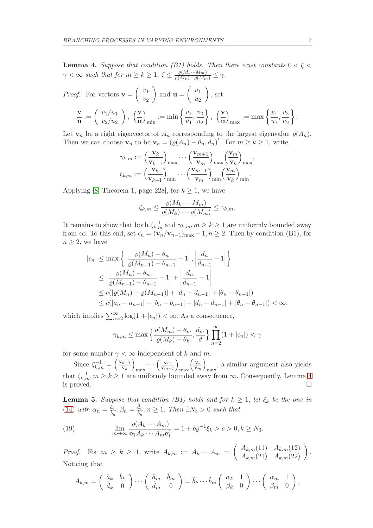<span id="page-6-0"></span>**Lemma 4.** Suppose that condition (B1) holds. Then there exist constants  $0 < \zeta <$  $\gamma < \infty$  such that for  $m \geq k \geq 1$ ,  $\zeta \leq \frac{\varrho(M_k \cdots M_m)}{\varrho(M_k) \cdots \varrho(M_m)} \leq \gamma$ .

*Proof.* For vectors 
$$
\mathbf{v} = \begin{pmatrix} v_1 \\ v_2 \end{pmatrix}
$$
 and  $\mathbf{u} = \begin{pmatrix} u_1 \\ u_2 \end{pmatrix}$ , set  
\n
$$
\frac{\mathbf{v}}{\mathbf{u}} := \begin{pmatrix} v_1/u_1 \\ v_2/u_2 \end{pmatrix}, \ \left(\frac{\mathbf{v}}{\mathbf{u}}\right)_{\text{min}} := \min \left\{ \frac{v_1}{u_1}, \frac{v_2}{u_2} \right\}, \ \left(\frac{\mathbf{v}}{\mathbf{u}}\right)_{\text{max}} := \max \left\{ \frac{v_1}{u_1}, \frac{v_2}{u_2} \right\}.
$$

Let  $\mathbf{v}_n$  be a right eigenvector of  $A_n$  corresponding to the largest eigenvalue  $\varrho(A_n)$ . Then we can choose  $\mathbf{v}_n$  to be  $\mathbf{v}_n = (\varrho(A_n) - \theta_n, d_n)^t$ . For  $m \ge k \ge 1$ , write

$$
\gamma_{k,m} := \left(\frac{\mathbf{v}_k}{\mathbf{v}_{k-1}}\right)_{\text{max}} \cdots \left(\frac{\mathbf{v}_{m+1}}{\mathbf{v}_m}\right)_{\text{max}} \left(\frac{\mathbf{v}_m}{\mathbf{v}_k}\right)_{\text{max}},
$$

$$
\zeta_{k,m} := \left(\frac{\mathbf{v}_k}{\mathbf{v}_{k-1}}\right)_{\text{min}} \cdots \left(\frac{\mathbf{v}_{m+1}}{\mathbf{v}_m}\right)_{\text{min}} \left(\frac{\mathbf{v}_m}{\mathbf{v}_k}\right)_{\text{min}}.
$$

Applying [\[8,](#page-21-14) Theorem 1, page 228], for  $k \geq 1$ , we have

$$
\zeta_{k,m} \leq \frac{\varrho(M_k \cdots M_m)}{\varrho(M_k) \cdots \varrho(M_m)} \leq \gamma_{k,m}.
$$

It remains to show that both  $\zeta_{k,m}^{-1}$  and  $\gamma_{k,m}, m \geq k \geq 1$  are uniformly bounded away from  $\infty$ . To this end, set  $\epsilon_n = (\mathbf{v}_n/\mathbf{v}_{n-1})_{\text{max}} - 1, n \geq 2$ . Then by condition (B1), for  $n \geq 2$ , we have

$$
|\epsilon_n| \le \max\left\{ \left| \frac{\varrho(M_n) - \theta_n}{\varrho(M_{n-1}) - \theta_{n-1}} - 1 \right|, \left| \frac{d_n}{d_{n-1}} - 1 \right| \right\}
$$
  
\n
$$
\le \left| \frac{\varrho(M_n) - \theta_n}{\varrho(M_{n-1}) - \theta_{n-1}} - 1 \right| + \left| \frac{d_n}{d_{n-1}} - 1 \right|
$$
  
\n
$$
\le c(|\varrho(M_n) - \varrho(M_{n-1})| + |d_n - d_{n-1}| + |\theta_n - \theta_{n-1}|)
$$
  
\n
$$
\le c(|a_n - a_{n-1}| + |b_n - b_{n-1}| + |d_n - d_{n-1}| + |\theta_n - \theta_{n-1}|) < \infty,
$$

which implies  $\sum_{n=2}^{\infty} \log(1 + |\epsilon_n|) < \infty$ . As a consequence,

$$
\gamma_{k,m} \le \max \left\{ \frac{\varrho(M_m) - \theta_m}{\varrho(M_k) - \theta_k}, \frac{d_m}{d} \right\} \prod_{n=2}^{\infty} (1 + |\epsilon_n|) < \gamma
$$

for some number  $\gamma < \infty$  independent of k and m.

Since  $\zeta_{k,m}^{-1} = \left(\frac{\mathbf{v}_{k-1}}{\mathbf{v}_k}\right)$  $\left(\frac{k-1}{\mathbf{v}_k}\right)$  $_{\max}\cdots\left(\frac{\mathbf{v}_{m}}{\mathbf{v}_{m+1}}\right)_{\max}$  $\sqrt{\mathbf{v}_k}$  $\frac{\mathbf{v}_k}{\mathbf{v}_m}\bigg)$ max , a similar argument also yields that  $\zeta_{k,m}^{-1}, m \geq k \geq 1$  are uniformly bounded away from  $\infty$ . Consequently, Lemma [4](#page-6-0) is proved.  $\square$ 

<span id="page-6-2"></span>**Lemma 5.** Suppose that condition (B1) holds and for  $k \geq 1$ , let  $\xi_k$  be the one in [\(14\)](#page-4-2) with  $\alpha_n = \frac{\tilde{a}_n}{\tilde{b}_n}, \beta_n = \frac{\tilde{d}_n}{\tilde{b}_n}$  $\frac{d_n}{\tilde{b}_n}, n \geq 1$ . Then  $\exists N_3 > 0$  such that

<span id="page-6-1"></span>(19) 
$$
\lim_{m \to \infty} \frac{\varrho(A_k \cdots A_m)}{\mathbf{e}_1 A_k \cdots A_m \mathbf{e}_1^t} = 1 + b \varrho^{-1} \xi_k > c > 0, k \ge N_3.
$$

*Proof.* For  $m \ge k \ge 1$ , write  $A_{k,m} := A_k \cdots A_m = \begin{pmatrix} A_{k,m}(11) & A_{k,m}(12) \\ A_{k,m}(21) & A_{k,m}(22) \end{pmatrix}$ . Noticing that

$$
A_{k,m} = \begin{pmatrix} \tilde{a}_k & \tilde{b}_k \\ \tilde{d}_k & 0 \end{pmatrix} \cdots \begin{pmatrix} \tilde{a}_m & \tilde{b}_m \\ \tilde{d}_m & 0 \end{pmatrix} = \tilde{b}_k \cdots \tilde{b}_m \begin{pmatrix} \alpha_k & 1 \\ \beta_k & 0 \end{pmatrix} \cdots \begin{pmatrix} \alpha_m & 1 \\ \beta_m & 0 \end{pmatrix},
$$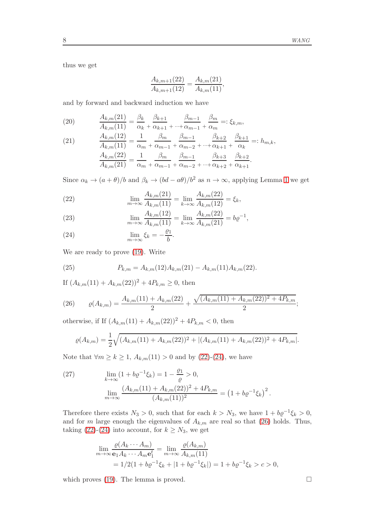thus we get

$$
\frac{A_{k,m+1}(22)}{A_{k,m+1}(12)} = \frac{A_{k,m}(21)}{A_{k,m}(11)},
$$

and by forward and backward induction we have

<span id="page-7-6"></span>(20) 
$$
\frac{A_{k,m}(21)}{A_{k,m}(11)} = \frac{\beta_k}{\alpha_k} + \frac{\beta_{k+1}}{\alpha_{k+1}} + \frac{\beta_{m-1}}{\alpha_{m-1}} + \frac{\beta_m}{\alpha_m} =: \xi_{k,m},
$$

<span id="page-7-7"></span>(21) 
$$
\frac{A_{k,m}(12)}{A_{k,m}(11)} = \frac{1}{\alpha_m} + \frac{\beta_m}{\alpha_{m-1}} + \frac{\beta_{m-1}}{\alpha_{m-2}} + \frac{\beta_{k+2}}{\alpha_{k+1}} + \frac{\beta_{k+1}}{\alpha_k} =: h_{m,k},
$$

$$
\frac{A_{k,m}(22)}{A_{k,m}(21)} = \frac{1}{\alpha_m} + \frac{\beta_m}{\alpha_{m-1}} + \frac{\beta_{m-1}}{\alpha_{m-2}} + \frac{\beta_{k+3}}{\alpha_{k+2}} + \frac{\beta_{k+2}}{\alpha_{k+1}}.
$$

Since  $\alpha_k \to (a + \theta)/b$  and  $\beta_k \to (bd - a\theta)/b^2$  as  $n \to \infty$ , applying Lemma [1](#page-4-3) we get

<span id="page-7-0"></span>(22) 
$$
\lim_{m \to \infty} \frac{A_{k,m}(21)}{A_{k,m}(11)} = \lim_{k \to \infty} \frac{A_{k,m}(22)}{A_{k,m}(12)} = \xi_k,
$$

<span id="page-7-4"></span>(23) 
$$
\lim_{m \to \infty} \frac{A_{k,m}(12)}{A_{k,m}(11)} = \lim_{k \to \infty} \frac{A_{k,m}(22)}{A_{k,m}(21)} = b\varrho^{-1},
$$

<span id="page-7-1"></span>(24) 
$$
\lim_{m \to \infty} \xi_k = -\frac{\varrho_1}{b}.
$$

We are ready to prove [\(19\)](#page-6-1). Write

<span id="page-7-3"></span>(25) 
$$
P_{k,m} = A_{k,m}(12)A_{k,m}(21) - A_{k,m}(11)A_{k,m}(22).
$$

If  $(A_{k,m}(11) + A_{k,m}(22))^2 + 4P_{k,m} \geq 0$ , then

<span id="page-7-2"></span>(26) 
$$
\varrho(A_{k,m}) = \frac{A_{k,m}(11) + A_{k,m}(22)}{2} + \frac{\sqrt{(A_{k,m}(11) + A_{k,m}(22))^2 + 4P_{k,m}}}{2};
$$

otherwise, if If  $(A_{k,m}(11) + A_{k,m}(22))^2 + 4P_{k,m} < 0$ , then

$$
\varrho(A_{k,m}) = \frac{1}{2} \sqrt{(A_{k,m}(11) + A_{k,m}(22))^2 + |(A_{k,m}(11) + A_{k,m}(22))^2 + 4P_{k,m}|}.
$$

Note that  $\forall m \ge k \ge 1$ ,  $A_{k,m}(11) > 0$  and by [\(22\)](#page-7-0)-[\(24\)](#page-7-1), we have

<span id="page-7-5"></span>(27) 
$$
\lim_{k \to \infty} (1 + b \varrho^{-1} \xi_k) = 1 - \frac{\varrho_1}{\varrho} > 0,
$$

$$
\lim_{m \to \infty} \frac{(A_{k,m}(11) + A_{k,m}(22))^2 + 4P_{k,m}}{(A_{k,m}(11))^2} = (1 + b \varrho^{-1} \xi_k)^2.
$$

Therefore there exists  $N_3 > 0$ , such that for each  $k > N_3$ , we have  $1 + b\varrho^{-1}\xi_k > 0$ , and for m large enough the eigenvalues of  $A_{k,m}$  are real so that [\(26\)](#page-7-2) holds. Thus, taking [\(22\)](#page-7-0)-[\(24\)](#page-7-1) into account, for  $k \geq N_3$ , we get

$$
\lim_{m \to \infty} \frac{\varrho(A_k \cdots A_m)}{\mathbf{e}_1 A_k \cdots A_m \mathbf{e}_1^t} = \lim_{m \to \infty} \frac{\varrho(A_{k,m})}{A_{k,m}(11)} \n= 1/2(1 + b\varrho^{-1}\xi_k + |1 + b\varrho^{-1}\xi_k|) = 1 + b\varrho^{-1}\xi_k > c > 0,
$$

which proves [\(19\)](#page-6-1). The lemma is proved.  $\square$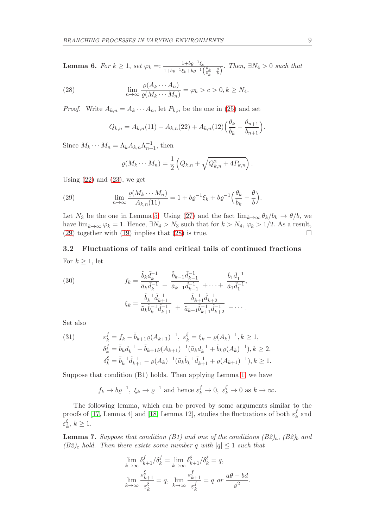**Lemma 6.** For  $k \geq 1$ , set  $\varphi_k =: \frac{1 + b \varrho^{-1} \xi_k}{1 + b \varrho^{-1} \xi_k + b \varrho^{-1}}$  $\frac{1+\theta\varrho-\xi_k}{1+b\varrho^{-1}\xi_k+b\varrho^{-1}\left(\frac{\theta_k}{b_k}-\frac{\theta}{b}\right)}$ . Then,  $\exists N_4>0$  such that

<span id="page-8-1"></span>(28) 
$$
\lim_{n \to \infty} \frac{\varrho(A_k \cdots A_n)}{\varrho(M_k \cdots M_n)} = \varphi_k > c > 0, k \ge N_4.
$$

*Proof.* Write  $A_{k,n} = A_k \cdots A_n$ , let  $P_{k,n}$  be the one in [\(25\)](#page-7-3) and set

$$
Q_{k,n} = A_{k,n}(11) + A_{k,n}(22) + A_{k,n}(12) \left(\frac{\theta_k}{b_k} - \frac{\theta_{n+1}}{b_{n+1}}\right).
$$

Since  $M_k \cdots M_n = \Lambda_k A_{k,n} \Lambda_{n+1}^{-1}$ , then

$$
\varrho(M_k\cdots M_n)=\frac{1}{2}\left(Q_{k,n}+\sqrt{Q_{k,n}^2+4P_{k,n}}\right).
$$

Using  $(22)$  and  $(23)$ , we get

<span id="page-8-0"></span>(29) 
$$
\lim_{n \to \infty} \frac{\varrho(M_k \cdots M_n)}{A_{k,n}(11)} = 1 + b \varrho^{-1} \xi_k + b \varrho^{-1} \left(\frac{\theta_k}{b_k} - \frac{\theta}{b}\right).
$$

Let  $N_3$  be the one in Lemma [5.](#page-6-2) Using [\(27\)](#page-7-5) and the fact  $\lim_{k\to\infty} \theta_k/b_k \to \theta/b$ , we have  $\lim_{k\to\infty} \varphi_k = 1$ . Hence,  $\exists N_4 > N_3$  such that for  $k > N_4$ ,  $\varphi_k > 1/2$ . As a result, (29) together with (19) implies that (28) is true [\(29\)](#page-8-0) together with [\(19\)](#page-6-1) implies that [\(28\)](#page-8-1) is true.

## 3.2 Fluctuations of tails and critical tails of continued fractions For  $k \geq 1$ , let

<span id="page-8-3"></span>(30) 
$$
f_k = \frac{\tilde{b}_k \tilde{d}_k^{-1}}{\tilde{a}_k \tilde{d}_k^{-1}} + \frac{\tilde{b}_{k-1} \tilde{d}_{k-1}^{-1}}{\tilde{a}_{k-1} \tilde{d}_{k-1}^{-1}} + \dots + \frac{\tilde{b}_1 \tilde{d}_1^{-1}}{\tilde{a}_1 \tilde{d}_1^{-1}},
$$

$$
\xi_k = \frac{\tilde{b}_k^{-1} \tilde{d}_{k+1}^{-1}}{\tilde{a}_k \tilde{b}_k^{-1} \tilde{d}_{k+1}^{-1}} + \frac{\tilde{b}_{k+1}^{-1} \tilde{d}_{k+2}^{-1}}{\tilde{a}_{k+1} \tilde{b}_{k+1}^{-1} \tilde{d}_{k+2}^{-1}} + \dots
$$

Set also

<span id="page-8-4"></span>(31) 
$$
\varepsilon_k^f = f_k - \tilde{b}_{k+1} \varrho (A_{k+1})^{-1}, \ \varepsilon_k^{\xi} = \xi_k - \varrho (A_k)^{-1}, k \ge 1, \n\delta_k^f = \tilde{b}_k d_k^{-1} - \tilde{b}_{k+1} \varrho (A_{k+1})^{-1} (\tilde{a}_k d_k^{-1} + \tilde{b}_k \varrho (A_k)^{-1}), k \ge 2, \n\delta_k^{\xi} = \tilde{b}_k^{-1} \tilde{d}_{k+1}^{-1} - \varrho (A_k)^{-1} (\tilde{a}_k \tilde{b}_k^{-1} \tilde{d}_{k+1}^{-1} + \varrho (A_{k+1})^{-1}), k \ge 1.
$$

Suppose that condition (B1) holds. Then applying Lemma [1,](#page-4-3) we have

$$
f_k \to b\varrho^{-1}
$$
,  $\xi_k \to \varrho^{-1}$  and hence  $\varepsilon_k^f \to 0$ ,  $\varepsilon_k^{\xi} \to 0$  as  $k \to \infty$ .

The following lemma, which can be proved by some arguments similar to the proofs of [\[17,](#page-21-12) Lemma 4] and [\[18,](#page-21-11) Lemma 12], studies the fluctuations of both  $\varepsilon_k^f$  $\frac{J}{k}$  and ε ξ  $_{k}^{\varsigma},\,k\geq1.$ 

<span id="page-8-2"></span>**Lemma 7.** Suppose that condition (B1) and one of the conditions  $(B2)_a$ ,  $(B2)_b$  and  $(B2)_c$  hold. Then there exists some number q with  $|q| \leq 1$  such that

$$
\lim_{k \to \infty} \delta_{k+1}^f / \delta_k^f = \lim_{k \to \infty} \delta_{k+1}^{\xi} / \delta_k^{\xi} = q,
$$
  

$$
\lim_{k \to \infty} \frac{\varepsilon_{k+1}^{\xi}}{\varepsilon_k^{\xi}} = q, \lim_{k \to \infty} \frac{\varepsilon_{k+1}^f}{\varepsilon_k^f} = q \text{ or } \frac{a\theta - bd}{\varrho^2}.
$$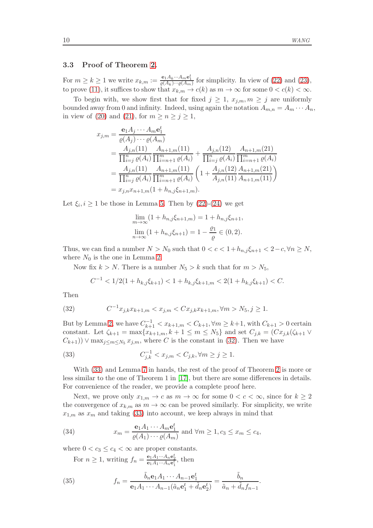### 3.3 Proof of Theorem [2.](#page-3-3)

For  $m \ge k \ge 1$  we write  $x_{k,m} := \frac{e_1 A_k \cdots A_m e_1^k}{\varrho(A_k) \cdots \varrho(A_m)}$  for simplicity. In view of [\(22\)](#page-7-0) and [\(23\)](#page-7-4), to prove [\(11\)](#page-3-4), it suffices to show that  $x_{k,m} \to c(k)$  as  $m \to \infty$  for some  $0 < c(k) < \infty$ .

To begin with, we show first that for fixed  $j \geq 1$ ,  $x_{i,m}, m \geq j$  are uniformly bounded away from 0 and infinity. Indeed, using again the notation  $A_{m,n} = A_m \cdots A_n$ , in view of [\(20\)](#page-7-6) and [\(21\)](#page-7-7), for  $m \ge n \ge j \ge 1$ ,

$$
x_{j,m} = \frac{\mathbf{e}_1 A_j \cdots A_m \mathbf{e}_1^t}{\varrho(A_j) \cdots \varrho(A_m)}
$$
  
= 
$$
\frac{A_{j,n}(11)}{\prod_{i=j}^n \varrho(A_i)} \frac{A_{n+1,m}(11)}{\prod_{i=n+1}^m \varrho(A_i)} + \frac{A_{j,n}(12)}{\prod_{i=j}^n \varrho(A_i)} \frac{A_{n+1,m}(21)}{\prod_{i=n+1}^m \varrho(A_i)}
$$
  
= 
$$
\frac{A_{j,n}(11)}{\prod_{i=j}^n \varrho(A_i)} \frac{A_{n+1,m}(11)}{\prod_{i=n+1}^m \varrho(A_i)} \left(1 + \frac{A_{j,n}(12)}{A_{j,n}(11)} \frac{A_{n+1,m}(21)}{A_{n+1,m}(11)}\right)
$$
  
= 
$$
x_{j,n} x_{n+1,m}(1 + h_{n,j} \xi_{n+1,m}).
$$

Let  $\xi_i, i \geq 1$  be those in Lemma [5.](#page-6-2) Then by [\(22\)](#page-7-0)-[\(24\)](#page-7-1) we get

$$
\lim_{m \to \infty} (1 + h_{n,j} \xi_{n+1,m}) = 1 + h_{n,j} \xi_{n+1},
$$
  

$$
\lim_{n \to \infty} (1 + h_{n,j} \xi_{n+1}) = 1 - \frac{\varrho_1}{\varrho} \in (0, 2).
$$

Thus, we can find a number  $N > N_0$  such that  $0 < c < 1 + h_{n,j} \xi_{n+1} < 2 - c, \forall n \ge N$ , where  $N_0$  is the one in Lemma [2.](#page-5-1)

Now fix  $k > N$ . There is a number  $N_5 > k$  such that for  $m > N_5$ ,

$$
C^{-1} < 1/2(1 + h_{k,j}\xi_{k+1}) < 1 + h_{k,j}\xi_{k+1,m} < 2(1 + h_{k,j}\xi_{k+1}) < C.
$$

Then

<span id="page-9-0"></span>(32) 
$$
C^{-1}x_{j,k}x_{k+1,m} < x_{j,m} < Cx_{j,k}x_{k+1,m}, \forall m > N_5, j \ge 1.
$$

But by Lemma [2,](#page-5-1) we have  $C_{k+1}^{-1} < x_{k+1,m} < C_{k+1}, \forall m \geq k+1$ , with  $C_{k+1} > 0$  certain constant. Let  $\zeta_{k+1} = \max\{x_{k+1,m}, k+1 \leq m \leq N_5\}$  and set  $C_{i,k} = (Cx_{i,k}(\zeta_{k+1} \vee$  $(C_{k+1})$ )  $\vee$  max $\chi_{i\leq m\leq N_5}$   $x_{i,m}$ , where C is the constant in [\(32\)](#page-9-0). Then we have

<span id="page-9-1"></span>(33) 
$$
C_{j,k}^{-1} < x_{j,m} < C_{j,k}, \forall m \ge j \ge 1.
$$

With [\(33\)](#page-9-1) and Lemma [7](#page-8-2) in hands, the rest of the proof of Theorem [2](#page-3-3) is more or less similar to the one of Theorem 1 in [\[17\]](#page-21-12), but there are some differences in details. For convenience of the reader, we provide a complete proof here.

Next, we prove only  $x_{1,m} \to c$  as  $m \to \infty$  for some  $0 < c < \infty$ , since for  $k \geq 2$ the convergence of  $x_{k,m}$  as  $m \to \infty$  can be proved similarly. For simplicity, we write  $x_{1,m}$  as  $x_m$  and taking [\(33\)](#page-9-1) into account, we keep always in mind that

(34) 
$$
x_m = \frac{\mathbf{e}_1 A_1 \cdots A_m \mathbf{e}_1^t}{\varrho(A_1) \cdots \varrho(A_m)} \text{ and } \forall m \ge 1, c_3 \le x_m \le c_4,
$$

where  $0 < c_3 \leq c_4 < \infty$  are proper constants.

<span id="page-9-3"></span>For  $n \geq 1$ , writing  $f_n = \frac{\mathbf{e}_1 A_1 \cdots A_n \mathbf{e}_2^t}{\mathbf{e}_1 A_1 \cdots A_n \mathbf{e}_1^t}$ , then

<span id="page-9-2"></span>(35) 
$$
f_n = \frac{\tilde{b}_n \mathbf{e}_1 A_1 \cdots A_{n-1} \mathbf{e}_1^t}{\mathbf{e}_1 A_1 \cdots A_{n-1} (\tilde{a}_n \mathbf{e}_1^t + \tilde{d}_n \mathbf{e}_2^t)} = \frac{\tilde{b}_n}{\tilde{a}_n + \tilde{d}_n f_{n-1}}.
$$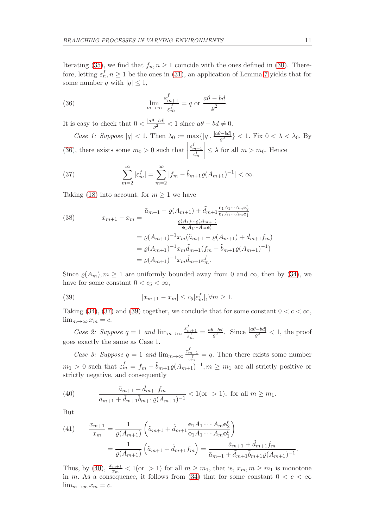Iterating [\(35\)](#page-9-2), we find that  $f_n, n \geq 1$  coincide with the ones defined in [\(30\)](#page-8-3). Therefore, letting  $\varepsilon_n^f, n \ge 1$  be the ones in [\(31\)](#page-8-4), an application of Lemma [7](#page-8-2) yields that for some number q with  $|q| \leq 1$ ,

<span id="page-10-0"></span>(36) 
$$
\lim_{m \to \infty} \frac{\varepsilon_{m+1}^f}{\varepsilon_m^f} = q \text{ or } \frac{a\theta - bd}{\varrho^2}.
$$

It is easy to check that  $0 < \frac{|a\theta - bd|}{\sigma^2}$  $\frac{d^2 - \theta a}{\theta^2} < 1$  since  $a\theta - bd \neq 0$ . Case 1: Suppose  $|q| < 1$ . Then  $\lambda_0 := \max\{|q|, \frac{|a\theta - bd|}{\rho^2}\}$  $\frac{(-\nu a)}{\rho^2}$ } < 1. Fix  $0 < \lambda < \lambda_0$ . By [\(36\)](#page-10-0), there exists some  $m_0 > 0$  such that  $\varepsilon_{m+1}^f$ ε f m  $\begin{array}{c} \begin{array}{c} \begin{array}{c} \begin{array}{c} \end{array} \\ \end{array} \\ \begin{array}{c} \end{array} \end{array} \end{array} \end{array}$  $\leq \lambda$  for all  $m > m_0$ . Hence

<span id="page-10-1"></span>(37) 
$$
\sum_{m=2}^{\infty} |\varepsilon_m^f| = \sum_{m=2}^{\infty} |f_m - \tilde{b}_{m+1}\varrho(A_{m+1})^{-1}| < \infty.
$$

Taking [\(18\)](#page-5-2) into account, for  $m \geq 1$  we have

<span id="page-10-4"></span>(38) 
$$
x_{m+1} - x_m = \frac{\tilde{a}_{m+1} - \varrho(A_{m+1}) + \tilde{d}_{m+1} \frac{e_1 A_1 \cdots A_m e_2^t}{e_1 A_1 \cdots A_m e_1^t}}{\frac{\varrho(A_1) \cdots \varrho(A_{m+1})}{e_1 A_1 \cdots A_m e_1^t}}
$$

$$
= \varrho(A_{m+1})^{-1} x_m (\tilde{a}_{m+1} - \varrho(A_{m+1}) + \tilde{d}_{m+1} f_m)
$$

$$
= \varrho(A_{m+1})^{-1} x_m \tilde{d}_{m+1} (f_m - \tilde{b}_{m+1} \varrho(A_{m+1})^{-1})
$$

$$
= \varrho(A_{m+1})^{-1} x_m \tilde{d}_{m+1} \varepsilon_m^f.
$$

Since  $\varrho(A_m), m \ge 1$  are uniformly bounded away from 0 and  $\infty$ , then by [\(34\)](#page-9-3), we have for some constant  $0 < c_5 < \infty$ ,

<span id="page-10-2"></span>(39) 
$$
|x_{m+1} - x_m| \leq c_5 |\varepsilon_m^f|, \forall m \geq 1.
$$

Taking [\(34\)](#page-9-3), [\(37\)](#page-10-1) and [\(39\)](#page-10-2) together, we conclude that for some constant  $0 < c < \infty$ ,  $\lim_{m\to\infty}x_m=c.$ 

Case 2: Suppose  $q = 1$  and  $\lim_{m \to \infty} \frac{\varepsilon_{m+1}^f}{\varepsilon_f^f}$  $\frac{\epsilon_{m+1}^f}{\epsilon_m^f} = \frac{a\theta-bd}{\varrho^2}$  $\frac{d\theta - bd}{\theta^2}$ . Since  $\frac{|a\theta - bd|}{\theta^2} < 1$ , the proof goes exactly the same as Case 1.

Case 3: Suppose  $q = 1$  and  $\lim_{m \to \infty} \frac{\varepsilon_{m+1}^f}{\varepsilon_f^f}$  $\frac{m+1}{\varepsilon_m^f} = q$ . Then there exists some number  $m_1 > 0$  such that  $\varepsilon_m^f = f_m - \tilde{b}_{m+1}\varrho(A_{m+1})^{-1}, m \geq m_1$  are all strictly positive or strictly negative, and consequently

<span id="page-10-3"></span>(40) 
$$
\frac{\tilde{a}_{m+1} + \tilde{d}_{m+1}f_m}{\tilde{a}_{m+1} + \tilde{d}_{m+1}\tilde{b}_{m+1}\varrho(A_{m+1})^{-1}} < 1
$$
 (or > 1), for all  $m \ge m_1$ .

But

<span id="page-10-5"></span>(41) 
$$
\frac{x_{m+1}}{x_m} = \frac{1}{\varrho(A_{m+1})} \left( \tilde{a}_{m+1} + \tilde{d}_{m+1} \frac{\mathbf{e}_1 A_1 \cdots A_m \mathbf{e}_2^t}{\mathbf{e}_1 A_1 \cdots A_m \mathbf{e}_1^t} \right)
$$

$$
= \frac{1}{\varrho(A_{m+1})} \left( \tilde{a}_{m+1} + \tilde{d}_{m+1} f_m \right) = \frac{\tilde{a}_{m+1} + \tilde{d}_{m+1} f_m}{\tilde{a}_{m+1} + \tilde{d}_{m+1} \tilde{b}_{m+1} \varrho(A_{m+1})^{-1}}.
$$

Thus, by [\(40\)](#page-10-3),  $\frac{x_{m+1}}{x_m} < 1$  (or > 1) for all  $m \geq m_1$ , that is,  $x_m, m \geq m_1$  is monotone in m. As a consequence, it follows from [\(34\)](#page-9-3) that for some constant  $0 < c < \infty$  $\lim_{m\to\infty}x_m=c.$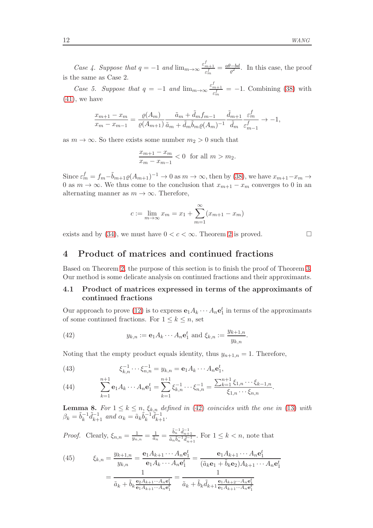Case 4. Suppose that  $q = -1$  and  $\lim_{m \to \infty} \frac{\varepsilon_{m+1}^f}{\varepsilon_m^f}$  $\frac{c_{m+1}^s}{\varepsilon_m^f} = \frac{a\theta-bd}{\varrho^2}$  $\frac{a-bd}{\varrho^2}$ . In this case, the proof is the same as Case 2.

Case 5. Suppose that  $q = -1$  and  $\lim_{m \to \infty} \frac{\varepsilon_{m+1}^f}{\varepsilon_m^f}$  $\frac{m+1}{\varepsilon_m^f}$  = -1. Combining [\(38\)](#page-10-4) with  $(41)$ , we have

$$
\frac{x_{m+1} - x_m}{x_m - x_{m-1}} = \frac{\varrho(A_m)}{\varrho(A_{m+1})} \frac{\tilde{a}_m + \tilde{d}_m f_{m-1}}{\tilde{a}_m + \tilde{d}_m \tilde{b}_m \varrho(A_m)^{-1}} \frac{\tilde{d}_{m+1}}{\tilde{d}_m} \frac{\varepsilon_m^f}{\varepsilon_{m-1}^f} \to -1,
$$

as  $m \to \infty$ . So there exists some number  $m_2 > 0$  such that

$$
\frac{x_{m+1} - x_m}{x_m - x_{m-1}} < 0 \text{ for all } m > m_2.
$$

Since  $\varepsilon_m^f = f_m - \tilde{b}_{m+1}\varrho(A_{m+1})^{-1} \to 0$  as  $m \to \infty$ , then by [\(38\)](#page-10-4), we have  $x_{m+1}-x_m \to$ 0 as  $m \to \infty$ . We thus come to the conclusion that  $x_{m+1} - x_m$  converges to 0 in an alternating manner as  $m \to \infty$ . Therefore,

$$
c := \lim_{m \to \infty} x_m = x_1 + \sum_{m=1}^{\infty} (x_{m+1} - x_m)
$$

<span id="page-11-0"></span>exists and by [\(34\)](#page-9-3), we must have  $0 < c < \infty$ . Theorem [2](#page-3-3) is proved.

4 Product of matrices and continued fractions

Based on Theorem [2,](#page-3-3) the purpose of this section is to finish the proof of Theorem [3.](#page-4-0) Our method is some delicate analysis on continued fractions and their approximants.

### 4.1 Product of matrices expressed in terms of the approximants of continued fractions

Our approach to prove [\(12\)](#page-4-4) is to express  $\mathbf{e}_1 A_k \cdots A_n \mathbf{e}_1^t$  in terms of the approximants of some continued fractions. For  $1 \leq k \leq n$ , set

<span id="page-11-1"></span>(42) 
$$
y_{k,n} := \mathbf{e}_1 A_k \cdots A_n \mathbf{e}_1^t \text{ and } \xi_{k,n} := \frac{y_{k+1,n}}{y_{k,n}}.
$$

Noting that the empty product equals identity, thus  $y_{n+1,n} = 1$ . Therefore,

<span id="page-11-3"></span>(43) 
$$
\xi_{k,n}^{-1} \cdots \xi_{n,n}^{-1} = y_{k,n} = \mathbf{e}_1 A_k \cdots A_n \mathbf{e}_1^t,
$$

<span id="page-11-4"></span>(44) 
$$
\sum_{k=1}^{n+1} \mathbf{e}_1 A_k \cdots A_n \mathbf{e}_1^t = \sum_{k=1}^{n+1} \xi_{k,n}^{-1} \cdots \xi_{n,n}^{-1} = \frac{\sum_{k=1}^{n+1} \xi_{1,n} \cdots \xi_{k-1,n}}{\xi_{1,n} \cdots \xi_{n,n}}.
$$

**Lemma 8.** For  $1 \leq k \leq n$ ,  $\xi_{k,n}$  defined in [\(42\)](#page-11-1) coincides with the one in [\(13\)](#page-4-5) with  $\beta_k = \tilde{b}_k^{-1}$  $_{k}^{-1}\tilde{d}_{k+1}^{-1}$  and  $\alpha_{k} = \tilde{a}_{k}\tilde{b}_{k}^{-1}$  $\tilde{d}_{k+1}^{-1}$ .

*Proof.* Clearly,  $\xi_{n,n} = \frac{1}{y_{n,n}} = \frac{1}{\tilde{a}_n} = \frac{\tilde{b}_n^{-1} \tilde{d}_{n+1}^{-1}}{\tilde{a}_n \tilde{b}_n^{-1} \tilde{d}_{n-1}^{-1}}$  $\frac{a_n}{\tilde{a}_n \tilde{b}_n^{-1} \tilde{d}_{n+1}^{-1}}$ . For  $1 \leq k < n$ , note that

<span id="page-11-2"></span>(45) 
$$
\xi_{k,n} = \frac{y_{k+1,n}}{y_{k,n}} = \frac{\mathbf{e}_1 A_{k+1} \cdots A_n \mathbf{e}_1^t}{\mathbf{e}_1 A_k \cdots A_n \mathbf{e}_1^t} = \frac{\mathbf{e}_1 A_{k+1} \cdots A_n \mathbf{e}_1^t}{(\tilde{a}_k \mathbf{e}_1 + \tilde{b}_k \mathbf{e}_2) A_{k+1} \cdots A_n \mathbf{e}_1^t} = \frac{1}{\tilde{a}_k + \tilde{b}_k \frac{\mathbf{e}_2 A_{k+1} \cdots A_n \mathbf{e}_1^t}{\mathbf{e}_1 A_{k+1} \cdots A_n \mathbf{e}_1^t}} = \frac{1}{\tilde{a}_k + \tilde{b}_k \tilde{d}_{k+1} \frac{\mathbf{e}_1 A_{k+2} \cdots A_n \mathbf{e}_1^t}{\mathbf{e}_1 A_{k+1} \cdots A_n \mathbf{e}_1^t}}
$$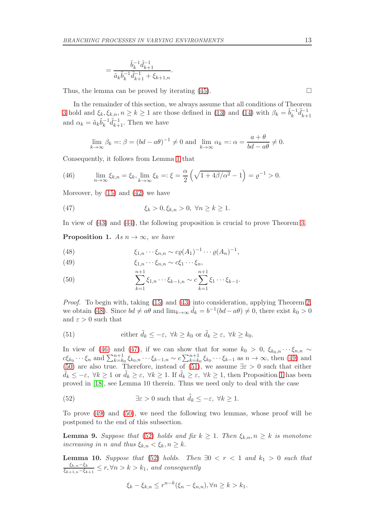$$
= \frac{\tilde{b}_k^{-1}\tilde{d}_{k+1}^{-1}}{\tilde{a}_k\tilde{b}_k^{-1}\tilde{d}_{k+1}^{-1} + \xi_{k+1,n}}
$$

Thus, the lemma can be proved by iterating  $(45)$ .

In the remainder of this section, we always assume that all conditions of Theorem [3](#page-4-0) hold and  $\xi_k, \xi_{k,n}, n \geq k \geq 1$  are those defined in [\(13\)](#page-4-5) and [\(14\)](#page-4-2) with  $\beta_k = \tilde{b}_k^{-1}$  $_{k}^{-1} \tilde{d}_{k+}^{-1}$  $k+1$ and  $\alpha_k = \tilde{a}_k \tilde{b}_k^{-1}$  $\bar{k}_{k+1}^{-1}\tilde{d}_{k+1}^{-1}$ . Then we have

$$
\lim_{k \to \infty} \beta_k =: \beta = (bd - a\theta)^{-1} \neq 0 \text{ and } \lim_{k \to \infty} \alpha_k =: \alpha = \frac{a + \theta}{bd - a\theta} \neq 0.
$$

Consequently, it follows from Lemma [1](#page-4-3) that

<span id="page-12-1"></span>(46) 
$$
\lim_{n \to \infty} \xi_{k,n} = \xi_k, \lim_{k \to \infty} \xi_k =: \xi = \frac{\alpha}{2} \left( \sqrt{1 + 4\beta/\alpha^2} - 1 \right) = \varrho^{-1} > 0.
$$

.

Moreover, by  $(15)$  and  $(42)$  we have

<span id="page-12-2"></span>(47) 
$$
\xi_k > 0, \xi_{k,n} > 0, \ \forall n \geq k \geq 1.
$$

In view of [\(43\)](#page-11-3) and [\(44\)](#page-11-4), the following proposition is crucial to prove Theorem [3.](#page-4-0)

<span id="page-12-6"></span>**Proposition 1.** As  $n \to \infty$ , we have

<span id="page-12-0"></span>(48) 
$$
\xi_{1,n} \cdots \xi_{n,n} \sim c\varrho(A_1)^{-1} \cdots \varrho(A_n)^{-1},
$$

<span id="page-12-3"></span>(49) 
$$
\xi_{1,n}\cdots\xi_{n,n}\sim c\xi_1\cdots\xi_n,
$$

<span id="page-12-4"></span>(50) 
$$
\sum_{k=1}^{n+1} \xi_{1,n} \cdots \xi_{k-1,n} \sim c \sum_{k=1}^{n+1} \xi_1 \cdots \xi_{k-1}.
$$

Proof. To begin with, taking [\(15\)](#page-5-4) and [\(43\)](#page-11-3) into consideration, applying Theorem [2,](#page-3-3) we obtain [\(48\)](#page-12-0). Since  $bd \neq a\theta$  and  $\lim_{k\to\infty} \tilde{d}_k = b^{-1}(bd - a\theta) \neq 0$ , there exist  $k_0 > 0$ and  $\varepsilon > 0$  such that

<span id="page-12-5"></span>(51) either 
$$
\tilde{d}_k \le -\varepsilon
$$
,  $\forall k \ge k_0$  or  $\tilde{d}_k \ge \varepsilon$ ,  $\forall k \ge k_0$ .

In view of [\(46\)](#page-12-1) and [\(47\)](#page-12-2), if we can show that for some  $k_0 > 0$ ,  $\xi_{k_0,n} \cdots \xi_{n,n} \sim$  $c\xi_{k_0}\cdots\xi_n$  and  $\sum_{k=k_0}^{n+1}\xi_{k_0,n}\cdots\xi_{k-1,n} \sim c\sum_{k=k_0}^{n+1}\xi_{k_0}\cdots\xi_{k-1}$  as  $n \to \infty$ , then [\(49\)](#page-12-3) and [\(50\)](#page-12-4) are also true. Therefore, instead of [\(51\)](#page-12-5), we assume  $\exists \varepsilon > 0$  such that either  $d_k \leq -\varepsilon$ ,  $\forall k \geq 1$  $\forall k \geq 1$  or  $d_k \geq \varepsilon$ ,  $\forall k \geq 1$ . If  $\tilde{d}_k \geq \varepsilon$ ,  $\forall k \geq 1$ , then Proposition 1 has been proved in [\[18\]](#page-21-11), see Lemma 10 therein. Thus we need only to deal with the case

<span id="page-12-7"></span>(52) 
$$
\exists \varepsilon > 0 \text{ such that } \tilde{d}_k \leq -\varepsilon, \ \forall k \geq 1.
$$

To prove [\(49\)](#page-12-3) and [\(50\)](#page-12-4), we need the following two lemmas, whose proof will be postponed to the end of this subsection.

<span id="page-12-8"></span>**Lemma 9.** Suppose that [\(52\)](#page-12-7) holds and fix  $k \geq 1$ . Then  $\xi_{k,n}, n \geq k$  is monotone increasing in n and thus  $\xi_{k,n} < \xi_k, n \geq k$ .

<span id="page-12-9"></span>**Lemma 10.** Suppose that [\(52\)](#page-12-7) holds. Then  $\exists 0 \leq r \leq 1$  and  $k_1 > 0$  such that  $\xi_{k,n}-\xi_k$  $\frac{\varsigma_{k,n}-\varsigma_{k}}{\varsigma_{k+1,n}-\varsigma_{k+1}} \leq r, \forall n > k > k_1$ , and consequently

$$
\xi_k - \xi_{k,n} \le r^{n-k}(\xi_n - \xi_{n,n}), \forall n \ge k > k_1.
$$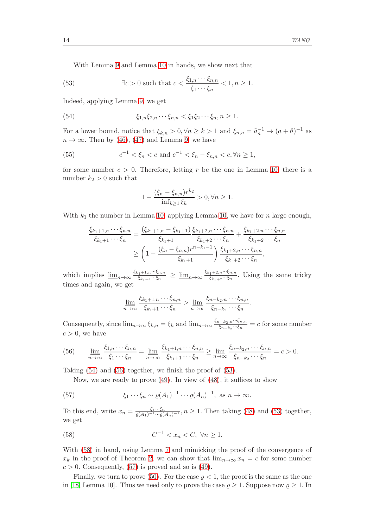With Lemma [9](#page-12-8) and Lemma [10](#page-12-9) in hands, we show next that

<span id="page-13-2"></span>(53) 
$$
\exists c > 0 \text{ such that } c < \frac{\xi_{1,n} \cdots \xi_{n,n}}{\xi_1 \cdots \xi_n} < 1, n \ge 1.
$$

Indeed, applying Lemma [9,](#page-12-8) we get

<span id="page-13-0"></span>(54) 
$$
\xi_{1,n}\xi_{2,n}\cdots\xi_{n,n} < \xi_1\xi_2\cdots\xi_n, n \geq 1.
$$

For a lower bound, notice that  $\xi_{k,n} > 0, \forall n \ge k > 1$  and  $\xi_{n,n} = \tilde{a}_n^{-1} \to (a + \theta)^{-1}$  as  $n \to \infty$ . Then by [\(46\)](#page-12-1), [\(47\)](#page-12-2) and Lemma [9,](#page-12-8) we have

<span id="page-13-5"></span>(55) 
$$
c^{-1} < \xi_n < c \text{ and } c^{-1} < \xi_n - \xi_{n,n} < c, \forall n \ge 1,
$$

for some number  $c > 0$ . Therefore, letting r be the one in Lemma [10,](#page-12-9) there is a number  $k_2 > 0$  such that

$$
1 - \frac{(\xi_n - \xi_{n,n})r^{k_2}}{\inf_{k \ge 1} \xi_k} > 0, \forall n \ge 1.
$$

With  $k_1$  the number in Lemma [10,](#page-12-9) applying Lemma 10, we have for n large enough,

$$
\frac{\xi_{k_1+1,n}\cdots\xi_{n,n}}{\xi_{k_1+1}\cdots\xi_n} = \frac{(\xi_{k_1+1,n} - \xi_{k_1+1})}{\xi_{k_1+1}} \frac{\xi_{k_1+2,n}\cdots\xi_{n,n}}{\xi_{k_1+2}\cdots\xi_n} + \frac{\xi_{k_1+2,n}\cdots\xi_{n,n}}{\xi_{k_1+2}\cdots\xi_n}
$$
\n
$$
\geq \left(1 - \frac{(\xi_n - \xi_{n,n})r^{n-k_1-1}}{\xi_{k_1+1}}\right) \frac{\xi_{k_1+2,n}\cdots\xi_{n,n}}{\xi_{k_1+2}\cdots\xi_n},
$$

which implies  $\underline{\lim}_{n\to\infty} \frac{\xi_{k_1+1,n}\cdots\xi_{n,n}}{\xi_{k_1+1}\cdots\xi_n}$  $\frac{\xi_{k_1+1,n}\cdots\xi_{n,n}}{\xi_{k_1+1}\cdots\xi_n} \ \geq \ \underline{\lim}_{n\to\infty} \frac{\xi_{k_1+2,n}\cdots\xi_{n,n}}{\xi_{k_1+2}\cdots\xi_n}$  $\frac{\xi_{k_1+2,n}\cdots\xi_{n,n}}{\xi_{k_1+2}\cdots\xi_n}$ . Using the same tricky times and again, we get

$$
\underline{\lim}_{n \to \infty} \frac{\xi_{k_1+1,n} \cdots \xi_{n,n}}{\xi_{k_1+1} \cdots \xi_n} > \underline{\lim}_{n \to \infty} \frac{\xi_{n-k_2,n} \cdots \xi_{n,n}}{\xi_{n-k_2} \cdots \xi_n}.
$$

Consequently, since  $\lim_{n\to\infty} \xi_{k,n} = \xi_k$  and  $\lim_{n\to\infty} \frac{\xi_{n-k_2,n}\cdots\xi_{n,n}}{\xi_{n-k_2}\cdots\xi_n}$  $\frac{(-k_2, n \cdots \zeta n, n}{\xi_{n-k_2} \cdots \xi_n} = c$  for some number  $c > 0$ , we have

<span id="page-13-1"></span>(56) 
$$
\lim_{n \to \infty} \frac{\xi_{1,n} \cdots \xi_{n,n}}{\xi_1 \cdots \xi_n} = \lim_{n \to \infty} \frac{\xi_{k_1+1,n} \cdots \xi_{n,n}}{\xi_{k_1+1} \cdots \xi_n} \ge \lim_{n \to \infty} \frac{\xi_{n-k_2,n} \cdots \xi_{n,n}}{\xi_{n-k_2} \cdots \xi_n} = c > 0.
$$

Taking [\(54\)](#page-13-0) and [\(56\)](#page-13-1) together, we finish the proof of [\(53\)](#page-13-2).

Now, we are ready to prove [\(49\)](#page-12-3). In view of [\(48\)](#page-12-0), it suffices to show

<span id="page-13-4"></span>(57) 
$$
\xi_1 \cdots \xi_n \sim \varrho(A_1)^{-1} \cdots \varrho(A_n)^{-1}, \text{ as } n \to \infty.
$$

To this end, write  $x_n = \frac{\xi_1 \cdots \xi_n}{\varrho(A_1)^{-1} \cdots \varrho(A_n)^{-1}}, n \ge 1$ . Then taking [\(48\)](#page-12-0) and [\(53\)](#page-13-2) together, we get

<span id="page-13-3"></span>(58) 
$$
C^{-1} < x_n < C, \ \forall n \ge 1.
$$

With [\(58\)](#page-13-3) in hand, using Lemma [7](#page-8-2) and mimicking the proof of the convergence of  $x_k$  in the proof of Theorem [2,](#page-3-3) we can show that  $\lim_{n\to\infty} x_n = c$  for some number  $c > 0$ . Consequently, [\(57\)](#page-13-4) is proved and so is [\(49\)](#page-12-3).

Finally, we turn to prove [\(50\)](#page-12-4). For the case  $\rho < 1$ , the proof is the same as the one in [\[18,](#page-21-11) Lemma 10]. Thus we need only to prove the case  $\rho \geq 1$ . Suppose now  $\rho \geq 1$ . In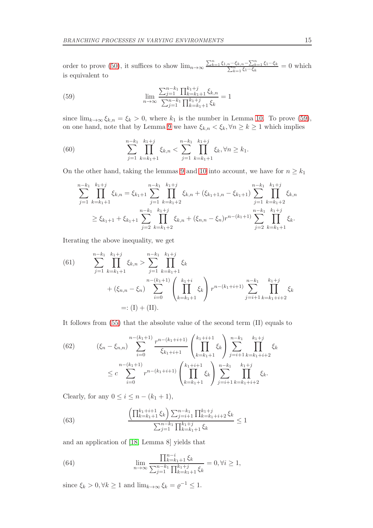order to prove [\(50\)](#page-12-4), it suffices to show  $\lim_{n\to\infty} \frac{\sum_{k=1}^{n} \xi_{1,n} \cdots \xi_{k,n} - \sum_{k=1}^{n} \xi_{1} \cdots \xi_{k}}{\sum_{k=1}^{n} \xi_{1} \cdots \xi_{k}}$  $\frac{\sum_{k=1}^{n} \xi_1 \cdots \xi_k}{\sum_{k=1}^{n} \xi_1 \cdots \xi_k} = 0$  which is equivalent to

<span id="page-14-0"></span>(59) 
$$
\lim_{n \to \infty} \frac{\sum_{j=1}^{n-k_1} \prod_{k=k_1+1}^{k_1+j} \xi_{k,n}}{\sum_{j=1}^{n-k_1} \prod_{k=k_1+1}^{k_1+j} \xi_k} = 1
$$

since  $\lim_{k\to\infty} \xi_{k,n} = \xi_k > 0$ , where  $k_1$  is the number in Lemma [10.](#page-12-9) To prove [\(59\)](#page-14-0), on one hand, note that by Lemma [9](#page-12-8) we have  $\xi_{k,n} < \xi_k, \forall n \geq k \geq 1$  which implies

<span id="page-14-5"></span>(60) 
$$
\sum_{j=1}^{n-k_1} \prod_{k=k_1+1}^{k_1+j} \xi_{k,n} < \sum_{j=1}^{n-k_1} \prod_{k=k_1+1}^{k_1+j} \xi_k, \forall n \ge k_1.
$$

On the other hand, taking the lemmas [9](#page-12-8) and [10](#page-12-9) into account, we have for  $n \geq k_1$ 

$$
\sum_{j=1}^{n-k_1} \prod_{k=k_1+1}^{k_1+j} \xi_{k,n} = \xi_{k_1+1} \sum_{j=1}^{n-k_1} \prod_{k=k_1+2}^{k_1+j} \xi_{k,n} + (\xi_{k_1+1,n} - \xi_{k_1+1}) \sum_{j=1}^{n-k_1} \prod_{k=k_1+2}^{k_1+j} \xi_{k,n}
$$
  

$$
\geq \xi_{k_1+1} + \xi_{k_1+1} \sum_{j=2}^{n-k_1} \prod_{k=k_1+2}^{k_1+j} \xi_{k,n} + (\xi_{n,n} - \xi_n) r^{n-(k_1+1)} \sum_{j=2}^{n-k_1} \prod_{k=k_1+1}^{k_1+j} \xi_k.
$$

Iterating the above inequality, we get

<span id="page-14-4"></span>(61) 
$$
\sum_{j=1}^{n-k_1} \prod_{k=k_1+1}^{k_1+j} \xi_{k,n} > \sum_{j=1}^{n-k_1} \prod_{k=k_1+1}^{k_1+j} \xi_k
$$

$$
+ (\xi_{n,n} - \xi_n) \sum_{i=0}^{n-(k_1+1)} \left( \prod_{k=k_1+1}^{k_1+i} \xi_k \right) r^{n-(k_1+i+1)} \sum_{j=i+1}^{n-k_1} \prod_{k=k_1+i+2}^{k_1+j} \xi_k
$$

$$
=: (I) + (II).
$$

It follows from [\(55\)](#page-13-5) that the absolute value of the second term (II) equals to

<span id="page-14-3"></span>(62) 
$$
(\xi_n - \xi_{n,n}) \sum_{i=0}^{n-(k_1+1)} \frac{r^{n-(k_1+i+1)}}{\xi_{k_1+i+1}} \left( \prod_{k=k_1+1}^{k_1+i+1} \xi_k \right) \sum_{j=i+1}^{n-k_1} \prod_{k=k_1+i+2}^{k_1+j} \xi_k
$$

$$
\leq c \sum_{i=0}^{n-(k_1+1)} r^{n-(k_1+i+1)} \left( \prod_{k=k_1+1}^{k_1+i+1} \xi_k \right) \sum_{j=i+1}^{n-k_1} \prod_{k=k_1+i+2}^{k_1+j} \xi_k.
$$

Clearly, for any  $0 \leq i \leq n - (k_1 + 1)$ ,

<span id="page-14-1"></span>(63) 
$$
\frac{\left(\prod_{k=k_1+1}^{k_1+i+1} \xi_k\right) \sum_{j=i+1}^{n-k_1} \prod_{k=k_1+i+2}^{k_1+j} \xi_k}{\sum_{j=1}^{n-k_1} \prod_{k=k_1+1}^{k_1+j} \xi_k} \le 1
$$

and an application of [\[18,](#page-21-11) Lemma 8] yields that

<span id="page-14-2"></span>(64) 
$$
\lim_{n \to \infty} \frac{\prod_{k=k_1+1}^{n-i} \xi_k}{\sum_{j=1}^{n-k_1} \prod_{k=k_1+1}^{k_1+j} \xi_k} = 0, \forall i \ge 1,
$$

since  $\xi_k > 0, \forall k \ge 1$  and  $\lim_{k \to \infty} \xi_k = \varrho^{-1} \le 1$ .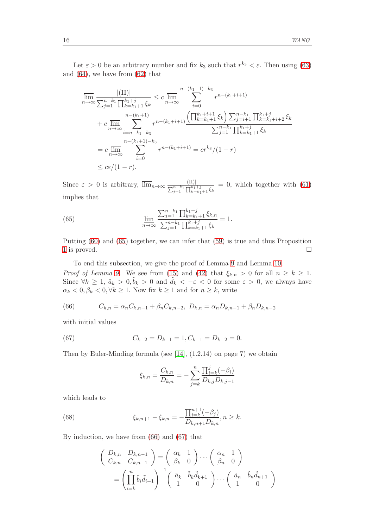Let  $\varepsilon > 0$  be an arbitrary number and fix  $k_3$  such that  $r^{k_3} < \varepsilon$ . Then using [\(63\)](#page-14-1) and [\(64\)](#page-14-2), we have from [\(62\)](#page-14-3) that

$$
\overline{\lim}_{n \to \infty} \frac{|(II)|}{\sum_{j=1}^{n-k_1} \prod_{k=k_1+1}^{k_1+j} \xi_k} \leq c \overline{\lim}_{n \to \infty} \sum_{i=0}^{n-(k_1+1)-k_3} r^{n-(k_1+i+1)}
$$
\n
$$
+ c \overline{\lim}_{n \to \infty} \sum_{i=n-k_1-k_3}^{n-(k_1+1)} r^{n-(k_1+i+1)} \frac{\left(\prod_{k=k_1+1}^{k_1+i+1} \xi_k\right) \sum_{j=i+1}^{n-k_1} \prod_{k=k_1+i+2}^{k_1+j} \xi_k}{\sum_{j=1}^{n-k_1} \prod_{k=k_1+1}^{k_1+j} \xi_k}
$$
\n
$$
= c \overline{\lim}_{n \to \infty} \sum_{i=0}^{n-(k_1+1)-k_3} r^{n-(k_1+i+1)} = cr^{k_3}/(1-r)
$$
\n
$$
\leq c\varepsilon/(1-r).
$$

Since  $\varepsilon > 0$  is arbitrary,  $\overline{\lim}_{n \to \infty} \frac{|(\text{II})|}{\sum_{j=1}^{n-k_1} \prod_{k=k_1+1}^{k_1+j} \xi_k}$  $= 0$ , which together with  $(61)$ implies that

<span id="page-15-0"></span>(65) 
$$
\lim_{n \to \infty} \frac{\sum_{j=1}^{n-k_1} \prod_{k=k_1+1}^{k_1+j} \xi_{k,n}}{\sum_{j=1}^{n-k_1} \prod_{k=k_1+1}^{k_1+j} \xi_k} = 1.
$$

Putting [\(60\)](#page-14-5) and [\(65\)](#page-15-0) together, we can infer that [\(59\)](#page-14-0) is true and thus Proposition [1](#page-12-6) is proved.  $\Box$ 

To end this subsection, we give the proof of Lemma [9](#page-12-8) and Lemma [10.](#page-12-9) *Proof of Lemma [9.](#page-12-8)* We see from [\(15\)](#page-5-4) and [\(42\)](#page-11-1) that  $\xi_{k,n} > 0$  for all  $n \geq k \geq 1$ . Since  $\forall k \geq 1$ ,  $\tilde{a}_k > 0$ ,  $\tilde{b}_k > 0$  and  $\tilde{d}_k < -\varepsilon < 0$  for some  $\varepsilon > 0$ , we always have  $\alpha_k < 0, \beta_k < 0, \forall k \ge 1$ . Now fix  $k \ge 1$  and for  $n \ge k$ , write

<span id="page-15-1"></span>(66) 
$$
C_{k,n} = \alpha_n C_{k,n-1} + \beta_n C_{k,n-2}, D_{k,n} = \alpha_n D_{k,n-1} + \beta_n D_{k,n-2}
$$

with initial values

<span id="page-15-2"></span>(67) 
$$
C_{k-2} = D_{k-1} = 1, C_{k-1} = D_{k-2} = 0.
$$

Then by Euler-Minding formula (see [\[14\]](#page-21-15), (1.2.14) on page 7) we obtain

$$
\xi_{k,n} = \frac{C_{k,n}}{D_{k,n}} = -\sum_{j=k}^{n} \frac{\prod_{i=k}^{j}(-\beta_i)}{D_{k,j}D_{k,j-1}}
$$

which leads to

<span id="page-15-3"></span>(68) 
$$
\xi_{k,n+1} - \xi_{k,n} = -\frac{\prod_{i=k}^{n+1} (-\beta_j)}{D_{k,n+1} D_{k,n}}, n \ge k.
$$

By induction, we have from [\(66\)](#page-15-1) and [\(67\)](#page-15-2) that

$$
\begin{pmatrix}\nD_{k,n} & D_{k,n-1} \\
C_{k,n} & C_{k,n-1}\n\end{pmatrix} = \begin{pmatrix}\n\alpha_k & 1 \\
\beta_k & 0\n\end{pmatrix} \cdots \begin{pmatrix}\n\alpha_n & 1 \\
\beta_n & 0\n\end{pmatrix}
$$
\n
$$
= \left(\prod_{i=k}^n \tilde{b}_i \tilde{d}_{i+1}\right)^{-1} \begin{pmatrix}\n\tilde{a}_k & \tilde{b}_k \tilde{d}_{k+1} \\
1 & 0\n\end{pmatrix} \cdots \begin{pmatrix}\n\tilde{a}_n & \tilde{b}_n \tilde{d}_{n+1} \\
1 & 0\n\end{pmatrix}
$$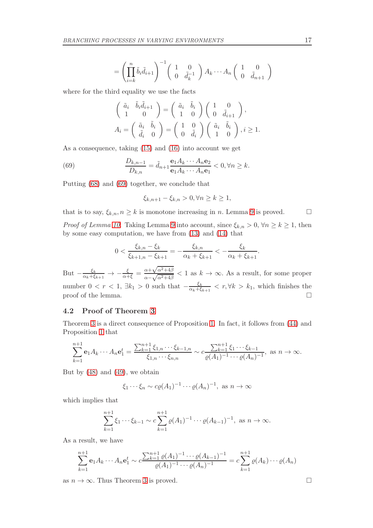$$
= \left(\prod_{i=k}^n \tilde{b}_i \tilde{d}_{i+1}\right)^{-1} \begin{pmatrix} 1 & 0 \\ 0 & \tilde{d}_k^{-1} \end{pmatrix} A_k \cdots A_n \begin{pmatrix} 1 & 0 \\ 0 & \tilde{d}_{n+1} \end{pmatrix}
$$

where for the third equality we use the facts

$$
\begin{pmatrix}\n\tilde{a}_i & \tilde{b}_i \tilde{d}_{i+1} \\
1 & 0\n\end{pmatrix} = \begin{pmatrix}\n\tilde{a}_i & \tilde{b}_i \\
1 & 0\n\end{pmatrix} \begin{pmatrix}\n1 & 0 \\
0 & \tilde{d}_{i+1}\n\end{pmatrix},
$$
\n
$$
A_i = \begin{pmatrix}\n\tilde{a}_i & \tilde{b}_i \\
\tilde{d}_i & 0\n\end{pmatrix} = \begin{pmatrix}\n1 & 0 \\
0 & \tilde{d}_i\n\end{pmatrix} \begin{pmatrix}\n\tilde{a}_i & \tilde{b}_i \\
1 & 0\n\end{pmatrix}, i \ge 1.
$$

As a consequence, taking [\(15\)](#page-5-4) and [\(16\)](#page-5-5) into account we get

<span id="page-16-0"></span>(69) 
$$
\frac{D_{k,n-1}}{D_{k,n}} = \tilde{d}_{n+1} \frac{\mathbf{e}_1 A_k \cdots A_n \mathbf{e}_2}{\mathbf{e}_1 A_k \cdots A_n \mathbf{e}_1} < 0, \forall n \ge k.
$$

Putting [\(68\)](#page-15-3) and [\(69\)](#page-16-0) together, we conclude that

$$
\xi_{k,n+1} - \xi_{k,n} > 0, \forall n \ge k \ge 1,
$$

that is to say,  $\xi_{k,n}, n \geq k$  is monotone increasing in n. Lemma [9](#page-12-8) is proved.  $\square$ 

*Proof of Lemma [10](#page-12-9).* Taking Lemma [9](#page-12-8) into account, since  $\xi_{k,n} > 0$ ,  $\forall n \geq k \geq 1$ , then by some easy computation, we have from [\(13\)](#page-4-5) and [\(14\)](#page-4-2) that

$$
0 < \frac{\xi_{k,n} - \xi_k}{\xi_{k+1,n} - \xi_{k+1}} = -\frac{\xi_{k,n}}{\alpha_k + \xi_{k+1}} < -\frac{\xi_k}{\alpha_k + \xi_{k+1}}.
$$

But  $-\frac{\xi_k}{\alpha_k+\xi}$  $\frac{\xi_k}{\alpha_k+\xi_{k+1}} \rightarrow -\frac{\xi}{\alpha+\xi} = \frac{\alpha+\sqrt{\alpha^2+4\beta}}{\alpha-\sqrt{\alpha^2+4\beta}}$  $\frac{\alpha+\sqrt{\alpha+4\beta}}{\alpha-\sqrt{\alpha^2+4\beta}} < 1$  as  $k \to \infty$ . As a result, for some proper number  $0 < r < 1$ ,  $\exists k_1 > 0$  such that  $-\frac{\xi_k}{\alpha_k + \xi_k}$  $\frac{\xi_k}{\alpha_k + \xi_{k+1}}$  <  $r, \forall k > k_1$ , which finishes the proof of the lemma.  $\Box$ 

### 4.2 Proof of Theorem [3](#page-4-0)

Theorem [3](#page-4-0) is a direct consequence of Proposition [1.](#page-12-6) In fact, it follows from [\(44\)](#page-11-4) and Proposition [1](#page-12-6) that

$$
\sum_{k=1}^{n+1} \mathbf{e}_1 A_k \cdots A_n \mathbf{e}_1^t = \frac{\sum_{k=1}^{n+1} \xi_{1,n} \cdots \xi_{k-1,n}}{\xi_{1,n} \cdots \xi_{n,n}} \sim c \frac{\sum_{k=1}^{n+1} \xi_1 \cdots \xi_{k-1}}{\varrho(A_1)^{-1} \cdots \varrho(A_n)^{-1}}, \text{ as } n \to \infty.
$$

But by [\(48\)](#page-12-0) and [\(49\)](#page-12-3), we obtain

$$
\xi_1 \cdots \xi_n \sim c\varrho(A_1)^{-1} \cdots \varrho(A_n)^{-1}
$$
, as  $n \to \infty$ 

which implies that

$$
\sum_{k=1}^{n+1} \xi_1 \cdots \xi_{k-1} \sim c \sum_{k=1}^{n+1} \varrho(A_1)^{-1} \cdots \varrho(A_{k-1})^{-1}, \text{ as } n \to \infty.
$$

As a result, we have

$$
\sum_{k=1}^{n+1} \mathbf{e}_1 A_k \cdots A_n \mathbf{e}_1^t \sim c \frac{\sum_{k=1}^{n+1} \varrho(A_1)^{-1} \cdots \varrho(A_{k-1})^{-1}}{\varrho(A_1)^{-1} \cdots \varrho(A_n)^{-1}} = c \sum_{k=1}^{n+1} \varrho(A_k) \cdots \varrho(A_n)
$$

as  $n \to \infty$ . Thus Theorem [3](#page-4-0) is proved.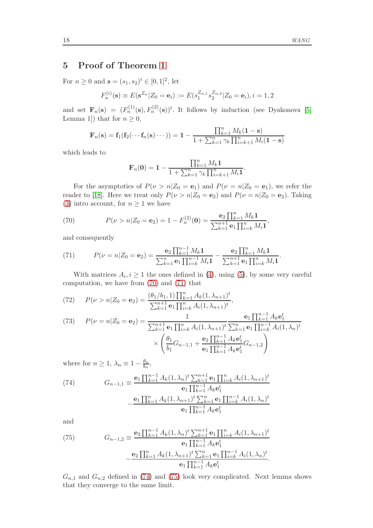### <span id="page-17-2"></span>5 Proof of Theorem [1](#page-3-2)

For  $n \ge 0$  and  $\mathbf{s} = (s_1, s_2)^t \in [0, 1]^2$ , let

$$
F_n^{(i)}(\mathbf{s}) \equiv E(\mathbf{s}^{Z_n} | Z_0 = \mathbf{e}_i) := E(s_1^{Z_{n,1}} s_2^{Z_{n,2}} | Z_0 = \mathbf{e}_i), i = 1, 2
$$

and set  $\mathbf{F}_n(\mathbf{s}) = (F_n^{(1)}(\mathbf{s}), F_n^{(2)}(\mathbf{s}))^t$ . It follows by induction (see Dyakonova [\[5,](#page-21-16) Lemma 1]) that for  $n \geq 0$ ,

$$
\mathbf{F}_n(\mathbf{s}) = \mathbf{f}_1(\mathbf{f}_2(\cdots \mathbf{f}_n(\mathbf{s}) \cdots)) = 1 - \frac{\prod_{k=1}^n M_k(1-\mathbf{s})}{1 + \sum_{k=1}^n \gamma_k \prod_{i=k+1}^n M_i(1-\mathbf{s})}
$$

which leads to

$$
\mathbf{F}_n(\mathbf{0}) = \mathbf{1} - \frac{\prod_{k=1}^n M_k \mathbf{1}}{1 + \sum_{k=1}^n \gamma_k \prod_{i=k+1}^n M_i \mathbf{1}}
$$

.

For the asymptotics of  $P(\nu > n | Z_0 = \mathbf{e}_1)$  and  $P(\nu = n | Z_0 = \mathbf{e}_1)$ , we refer the reader to [\[18\]](#page-21-11). Here we treat only  $P(\nu > n | Z_0 = e_2)$  and  $P(\nu = n | Z_0 = e_2)$ . Taking [\(3\)](#page-1-1) intro account, for  $n \geq 1$  we have

<span id="page-17-0"></span>(70) 
$$
P(\nu > n | Z_0 = \mathbf{e}_2) = 1 - F_n^{(2)}(\mathbf{0}) = \frac{\mathbf{e}_2 \prod_{k=1}^n M_k \mathbf{1}}{\sum_{k=1}^{n+1} \mathbf{e}_1 \prod_{i=k}^n M_i \mathbf{1}},
$$

and consequently

<span id="page-17-1"></span>(71) 
$$
P(\nu = n | Z_0 = \mathbf{e}_2) = \frac{\mathbf{e}_2 \prod_{k=1}^{n-1} M_k \mathbf{1}}{\sum_{k=1}^{n} \mathbf{e}_1 \prod_{i=k}^{n-1} M_i \mathbf{1}} - \frac{\mathbf{e}_2 \prod_{k=1}^{n} M_k \mathbf{1}}{\sum_{k=1}^{n+1} \mathbf{e}_1 \prod_{i=k}^{n} M_i \mathbf{1}}.
$$

With matrices  $A_i, i \geq 1$  the ones defined in [\(4\)](#page-2-0), using [\(5\)](#page-2-1), by some very careful computation, we have from [\(70\)](#page-17-0) and [\(71\)](#page-17-1) that

<span id="page-17-6"></span>(72) 
$$
P(\nu > n | Z_0 = \mathbf{e}_2) = \frac{(\theta_1 / b_1, 1) \prod_{k=1}^n A_k (1, \lambda_{n+1})^t}{\sum_{k=1}^{n+1} \mathbf{e}_1 \prod_{i=k}^n A_i (1, \lambda_{n+1})^t},
$$

<span id="page-17-5"></span>(73) 
$$
P(\nu = n | Z_0 = \mathbf{e}_2) = \frac{1}{\sum_{k=1}^{n+1} \mathbf{e}_1 \prod_{i=k}^n A_i (1, \lambda_{n+1})^t} \frac{\mathbf{e}_1 \prod_{k=1}^{n-1} A_k \mathbf{e}_1^t}{\sum_{k=1}^n \mathbf{e}_1 \prod_{i=k}^{n-1} A_i (1, \lambda_n)^t}
$$

$$
\times \left( \frac{\theta_1}{b_1} G_{n-1,1} + \frac{\mathbf{e}_2 \prod_{k=1}^{n-1} A_k \mathbf{e}_1^t}{\mathbf{e}_1 \prod_{k=1}^{n-1} A_k \mathbf{e}_1^t} G_{n-1,2} \right)
$$

where for  $n \geq 1$ ,  $\lambda_n \equiv 1 - \frac{\theta_n}{b_n}$  $\frac{\theta_n}{b_n},$ 

<span id="page-17-3"></span>(74) 
$$
G_{n-1,1} = \frac{\mathbf{e}_1 \prod_{k=1}^{n-1} A_k (1, \lambda_n)^t \sum_{k=1}^{n+1} \mathbf{e}_1 \prod_{i=k}^n A_i (1, \lambda_{n+1})^t}{\mathbf{e}_1 \prod_{k=1}^{n-1} A_k \mathbf{e}_1^t}
$$

$$
- \frac{\mathbf{e}_1 \prod_{k=1}^{n} A_k (1, \lambda_{n+1})^t \sum_{k=1}^{n} \mathbf{e}_1 \prod_{i=k}^{n-1} A_i (1, \lambda_n)^t}{\mathbf{e}_1 \prod_{k=1}^{n-1} A_k \mathbf{e}_1^t}
$$

and

<span id="page-17-4"></span>(75) 
$$
G_{n-1,2} \equiv \frac{\mathbf{e}_2 \prod_{k=1}^{n-1} A_k (1, \lambda_n)^t \sum_{k=1}^{n+1} \mathbf{e}_1 \prod_{i=k}^n A_i (1, \lambda_{n+1})^t}{\mathbf{e}_1 \prod_{k=1}^{n-1} A_k \mathbf{e}_1^t} - \frac{\mathbf{e}_2 \prod_{k=1}^n A_k (1, \lambda_{n+1})^t \sum_{k=1}^n \mathbf{e}_1 \prod_{i=k}^{n-1} A_i (1, \lambda_n)^t}{\mathbf{e}_1 \prod_{k=1}^{n-1} A_k \mathbf{e}_1^t}.
$$

 $G_{n,1}$  and  $G_{n,2}$  defined in [\(74\)](#page-17-3) and [\(75\)](#page-17-4) look very complicated. Next lemma shows that they converge to the same limit.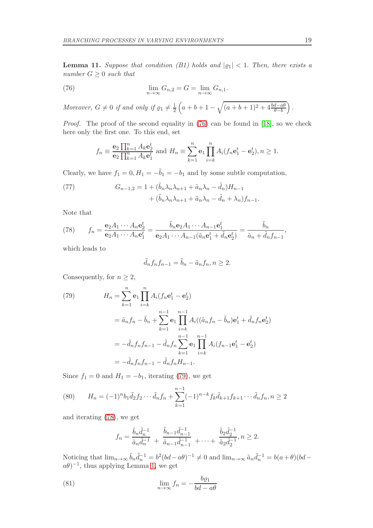<span id="page-18-6"></span>**Lemma 11.** Suppose that condition (B1) holds and  $|q_1| < 1$ . Then, there exists a number  $G \geq 0$  such that

<span id="page-18-0"></span>(76) 
$$
\lim_{n \to \infty} G_{n,2} = G = \lim_{n \to \infty} G_{n,1}.
$$

Moreover,  $G \neq 0$  if and only if  $\varrho_1 \neq \frac{1}{2}$  $\frac{1}{2}\left(a+b+1-\sqrt{(a+b+1)^2+4\frac{bd-a\theta}{\theta-b}}\right).$ 

Proof. The proof of the second equality in [\(76\)](#page-18-0) can be found in [\[18\]](#page-21-11), so we check here only the first one. To this end, set

$$
f_n \equiv \frac{\mathbf{e}_2 \prod_{k=1}^n A_k \mathbf{e}_2^t}{\mathbf{e}_2 \prod_{k=1}^n A_k \mathbf{e}_1^t}
$$
 and  $H_n \equiv \sum_{k=1}^n \mathbf{e}_1 \prod_{i=k}^n A_i (f_n \mathbf{e}_1^t - \mathbf{e}_2^t), n \ge 1.$ 

Clearly, we have  $f_1 = 0, H_1 = -\tilde{b}_1 = -b_1$  and by some subtle computation,

<span id="page-18-4"></span>(77) 
$$
G_{n-1,2} = 1 + (\tilde{b}_n \lambda_n \lambda_{n+1} + \tilde{a}_n \lambda_n - \tilde{d}_n) H_{n-1} + (\tilde{b}_n \lambda_n \lambda_{n+1} + \tilde{a}_n \lambda_n - \tilde{d}_n + \lambda_n) f_{n-1}.
$$

Note that

<span id="page-18-2"></span>(78) 
$$
f_n = \frac{\mathbf{e}_2 A_1 \cdots A_n \mathbf{e}_2^t}{\mathbf{e}_2 A_1 \cdots A_n \mathbf{e}_1^t} = \frac{\tilde{b}_n \mathbf{e}_2 A_1 \cdots A_{n-1} \mathbf{e}_1^t}{\mathbf{e}_2 A_1 \cdots A_{n-1} (\tilde{a}_n \mathbf{e}_1^t + \tilde{d}_n \mathbf{e}_2^t)} = \frac{\tilde{b}_n}{\tilde{a}_n + \tilde{d}_n f_{n-1}},
$$

which leads to

$$
\tilde{d}_n f_n f_{n-1} = \tilde{b}_n - \tilde{a}_n f_n, n \ge 2.
$$

Consequently, for  $n \geq 2$ ,

<span id="page-18-1"></span>(79) 
$$
H_n = \sum_{k=1}^n \mathbf{e}_1 \prod_{i=k}^n A_i (f_n \mathbf{e}_1^t - \mathbf{e}_2^t)
$$

$$
= \tilde{a}_n f_n - \tilde{b}_n + \sum_{k=1}^{n-1} \mathbf{e}_1 \prod_{i=k}^{n-1} A_i ((\tilde{a}_n f_n - \tilde{b}_n) \mathbf{e}_1^t + \tilde{d}_n f_n \mathbf{e}_2^t)
$$

$$
= -\tilde{d}_n f_n f_{n-1} - \tilde{d}_n f_n \sum_{k=1}^{n-1} \mathbf{e}_1 \prod_{i=k}^{n-1} A_i (f_{n-1} \mathbf{e}_1^t - \mathbf{e}_2^t)
$$

$$
= -\tilde{d}_n f_n f_{n-1} - \tilde{d}_n f_n H_{n-1}.
$$

Since  $f_1 = 0$  and  $H_1 = -b_1$ , iterating [\(79\)](#page-18-1), we get

<span id="page-18-3"></span>(80) 
$$
H_n = (-1)^n b_1 \tilde{d}_2 f_2 \cdots \tilde{d}_n f_n + \sum_{k=1}^{n-1} (-1)^{n-k} f_k \tilde{d}_{k+1} f_{k+1} \cdots \tilde{d}_n f_n, n \ge 2
$$

and iterating [\(78\)](#page-18-2), we get

$$
f_n = \frac{\tilde{b}_n \tilde{d}_n^{-1}}{\tilde{a}_n \tilde{d}_n^{-1}} + \frac{\tilde{b}_{n-1} \tilde{d}_{n-1}^{-1}}{\tilde{a}_{n-1} \tilde{d}_{n-1}^{-1}} + \dots + \frac{\tilde{b}_2 \tilde{d}_2^{-1}}{\tilde{a}_2 \tilde{d}_2^{-1}}, n \ge 2.
$$

Noticing that  $\lim_{n\to\infty} \tilde{b}_n \tilde{d}_n^{-1} = b^2 (bd - a\theta)^{-1} \neq 0$  and  $\lim_{n\to\infty} \tilde{a}_n \tilde{d}_n^{-1} = b(a + \theta)(bd - a\theta)^{-1}$  $(a\theta)^{-1}$ , thus applying Lemma [1,](#page-4-3) we get

<span id="page-18-5"></span>(81) 
$$
\lim_{n \to \infty} f_n = -\frac{b \varrho_1}{b d - a \theta}
$$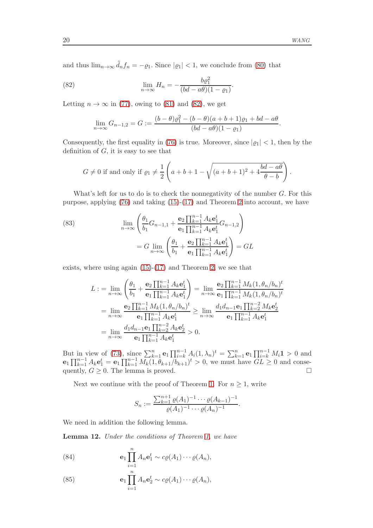and thus  $\lim_{n\to\infty} \tilde{d}_n f_n = -\varrho_1$ . Since  $|\varrho_1| < 1$ , we conclude from [\(80\)](#page-18-3) that

<span id="page-19-0"></span>(82) 
$$
\lim_{n \to \infty} H_n = -\frac{b\varrho_1^2}{(bd - a\theta)(1 - \varrho_1)}.
$$

Letting  $n \to \infty$  in [\(77\)](#page-18-4), owing to [\(81\)](#page-18-5) and [\(82\)](#page-19-0), we get

$$
\lim_{n \to \infty} G_{n-1,2} = G := \frac{(b-\theta)\varrho_1^2 - (b-\theta)(a+b+1)\varrho_1 + bd - a\theta}{(bd - a\theta)(1 - \varrho_1)}.
$$

Consequently, the first equality in [\(76\)](#page-18-0) is true. Moreover, since  $|q_1|$  < 1, then by the definition of  $G$ , it is easy to see that

$$
G \neq 0 \text{ if and only if } \varrho_1 \neq \frac{1}{2} \left( a+b+1-\sqrt{(a+b+1)^2+4\frac{bd-ab}{\theta-b}} \right).
$$

What's left for us to do is to check the nonnegativity of the number  $G$ . For this purpose, applying [\(76\)](#page-18-0) and taking [\(15\)](#page-5-4)-[\(17\)](#page-5-6) and Theorem [2](#page-3-3) into account, we have

<span id="page-19-4"></span>(83) 
$$
\lim_{n \to \infty} \left( \frac{\theta_1}{b_1} G_{n-1,1} + \frac{\mathbf{e}_2 \prod_{k=1}^{n-1} A_k \mathbf{e}_1^t}{\mathbf{e}_1 \prod_{k=1}^{n-1} A_k \mathbf{e}_1^t} G_{n-1,2} \right)
$$

$$
= G \lim_{n \to \infty} \left( \frac{\theta_1}{b_1} + \frac{\mathbf{e}_2 \prod_{k=1}^{n-1} A_k \mathbf{e}_1^t}{\mathbf{e}_1 \prod_{k=1}^{n-1} A_k \mathbf{e}_1^t} \right) = GL
$$

exists, where using again [\(15\)](#page-5-4)-[\(17\)](#page-5-6) and Theorem [2,](#page-3-3) we see that

$$
L := \lim_{n \to \infty} \left( \frac{\theta_1}{b_1} + \frac{\mathbf{e}_2 \prod_{k=1}^{n-1} A_k \mathbf{e}_1^t}{\mathbf{e}_1 \prod_{k=1}^{n-1} A_k \mathbf{e}_1^t} \right) = \lim_{n \to \infty} \frac{\mathbf{e}_2 \prod_{k=1}^{n-1} M_k (1, \theta_n / b_n)^t}{\mathbf{e}_1 \prod_{k=1}^{n-1} M_k (1, \theta_n / b_n)^t}
$$
  
= 
$$
\lim_{n \to \infty} \frac{\mathbf{e}_2 \prod_{k=1}^{n-1} M_k (1, \theta_n / b_n)^t}{\mathbf{e}_1 \prod_{k=1}^{n-1} A_k \mathbf{e}_1^t} \ge \lim_{n \to \infty} \frac{d_1 d_{n-1} \mathbf{e}_1 \prod_{k=2}^{n-2} M_k \mathbf{e}_2^t}{\mathbf{e}_1 \prod_{k=1}^{n-1} A_k \mathbf{e}_1^t}
$$
  
= 
$$
\lim_{n \to \infty} \frac{d_1 d_{n-1} \mathbf{e}_1 \prod_{k=2}^{n-2} A_k \mathbf{e}_2^t}{\mathbf{e}_1 \prod_{k=1}^{n-1} A_k \mathbf{e}_1^t} > 0.
$$

But in view of [\(73\)](#page-17-5), since  $\sum_{k=1}^{n} e_1 \prod_{i=k}^{n-1} A_i (1, \lambda_n)^t = \sum_{k=1}^{n} e_1 \prod_{i=k}^{n-1} M_i 1 > 0$  and  $e_1 \prod_{k=1}^{n-1} A_k e_1^t = e_1 \prod_{k=1}^{n-1} M_k (1, \theta_{k+1}/b_{k+1})^t > 0$ , we must have  $GL \geq 0$  and consequently,  $G \geq 0$ . The lemma is proved.

Next we continue with the proof of Theorem [1.](#page-3-2) For  $n \geq 1$ , write

$$
S_n := \frac{\sum_{k=1}^{n+1} \varrho(A_1)^{-1} \cdots \varrho(A_{k-1})^{-1}}{\varrho(A_1)^{-1} \cdots \varrho(A_n)^{-1}}.
$$

We need in addition the following lemma.

<span id="page-19-3"></span>Lemma 12. Under the conditions of Theorem [1,](#page-3-2) we have

<span id="page-19-1"></span>(84) 
$$
\mathbf{e}_1 \prod_{i=1}^n A_n \mathbf{e}_1^t \sim c \varrho(A_1) \cdots \varrho(A_n),
$$

<span id="page-19-2"></span>(85) 
$$
\mathbf{e}_1 \prod_{i=1}^n A_n \mathbf{e}_2^t \sim c \varrho(A_1) \cdots \varrho(A_n),
$$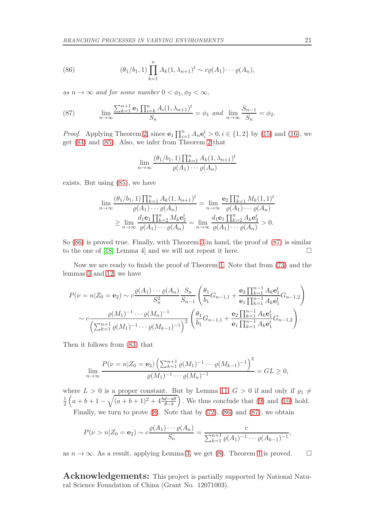<span id="page-20-0"></span>(86) 
$$
(\theta_1/b_1, 1) \prod_{k=1}^n A_k (1, \lambda_{n+1})^t \sim c \varrho(A_1) \cdots \varrho(A_n),
$$

as  $n \to \infty$  and for some number  $0 < \phi_1, \phi_2 < \infty$ ,

<span id="page-20-1"></span>(87) 
$$
\lim_{n \to \infty} \frac{\sum_{k=1}^{n+1} \mathbf{e}_1 \prod_{i=k}^n A_i (1, \lambda_{n+1})^t}{S_n} = \phi_1 \text{ and } \lim_{n \to \infty} \frac{S_{n-1}}{S_n} = \phi_2.
$$

*Proof.* Applying Theorem [2,](#page-3-3) since  $\mathbf{e}_1 \prod_{i=1}^n A_n \mathbf{e}_i^t > 0, i \in \{1, 2\}$  by [\(15\)](#page-5-4) and [\(16\)](#page-5-5), we get [\(84\)](#page-19-1) and [\(85\)](#page-19-2). Also, we infer from Theorem [2](#page-3-3) that

$$
\lim_{n \to \infty} \frac{(\theta_1/b_1, 1) \prod_{k=1}^n A_k (1, \lambda_{n+1})^t}{\varrho(A_1) \cdots \varrho(A_n)}
$$

exists. But using [\(85\)](#page-19-2), we have

$$
\lim_{n \to \infty} \frac{(\theta_1/b_1, 1) \prod_{k=1}^n A_k (1, \lambda_{n+1})^t}{\varrho(A_1) \cdots \varrho(A_n)} = \lim_{n \to \infty} \frac{\mathbf{e}_2 \prod_{k=1}^n M_k (1, 1)^t}{\varrho(A_1) \cdots \varrho(A_n)}
$$
\n
$$
\geq \lim_{n \to \infty} \frac{d_1 \mathbf{e}_1 \prod_{k=2}^n M_k \mathbf{e}_2^t}{\varrho(A_1) \cdots \varrho(A_n)} = \lim_{n \to \infty} \frac{d_1 \mathbf{e}_1 \prod_{k=2}^n A_k \mathbf{e}_2^t}{\varrho(A_1) \cdots \varrho(A_n)} > 0.
$$

So [\(86\)](#page-20-0) is proved true. Finally, with Theorem [3](#page-4-0) in hand, the proof of [\(87\)](#page-20-1) is similar to the one of [\[18,](#page-21-11) Lemma 4] and we will not repeat it here.  $\Box$ 

Now we are ready to finish the proof of Theorem [1.](#page-3-2) Note that from [\(73\)](#page-17-5) and the lemmas [3](#page-5-3) and [12,](#page-19-3) we have

$$
P(\nu = n | Z_0 = \mathbf{e}_2) \sim c \frac{\varrho(A_1) \cdots \varrho(A_n)}{S_n^2} \frac{S_n}{S_{n-1}} \left( \frac{\theta_1}{b_1} G_{n-1,1} + \frac{\mathbf{e}_2 \prod_{k=1}^{n-1} A_k \mathbf{e}_1^t}{\mathbf{e}_1 \prod_{k=1}^{n-1} A_k \mathbf{e}_1^t} G_{n-1,2} \right)
$$
  
 
$$
\sim c \frac{\varrho(M_1)^{-1} \cdots \varrho(M_n)^{-1}}{\left( \sum_{k=1}^{n+1} \varrho(M_1)^{-1} \cdots \varrho(M_{k-1})^{-1} \right)^2} \left( \frac{\theta_1}{b_1} G_{n-1,1} + \frac{\mathbf{e}_2 \prod_{k=1}^{n-1} A_k \mathbf{e}_1^t}{\mathbf{e}_1 \prod_{k=1}^{n-1} A_k \mathbf{e}_1^t} G_{n-1,2} \right).
$$

Then it follows from [\(83\)](#page-19-4) that

$$
\lim_{n \to \infty} \frac{P(\nu = n | Z_0 = \mathbf{e}_2) \left( \sum_{k=1}^{n+1} \varrho(M_1)^{-1} \cdots \varrho(M_{k-1})^{-1} \right)^2}{\varrho(M_1)^{-1} \cdots \varrho(M_n)^{-1}} = GL \ge 0,
$$

where  $L > 0$  is a proper constant. But by Lemma [11,](#page-18-6)  $G > 0$  if and only if  $\varrho_1 \neq \frac{1}{a+b+1}$  $\frac{1}{2}\left(a+b+1-\sqrt{(a+b+1)^2+4\frac{bd-a\theta}{\theta-b}}\right)$ . We thus conclude that [\(9\)](#page-3-5) and [\(10\)](#page-3-6) hold.

Finally, we turn to prove  $(8)$ . Note that by  $(72)$ ,  $(86)$  and  $(87)$ , we obtain

$$
P(\nu > n | Z_0 = \mathbf{e}_2) \sim c \frac{\varrho(A_1) \cdots \varrho(A_n)}{S_n} = \frac{c}{\sum_{k=1}^{n+1} \varrho(A_1)^{-1} \cdots \varrho(A_{k-1})^{-1}},
$$

as  $n \to \infty$ . As a result, applying Lemma [3,](#page-5-3) we get [\(8\)](#page-3-7). Theorem [1](#page-3-2) is proved.  $\square$ 

Acknowledgements: This project is partially supported by National Natural Science Foundation of China (Grant No. 12071003).